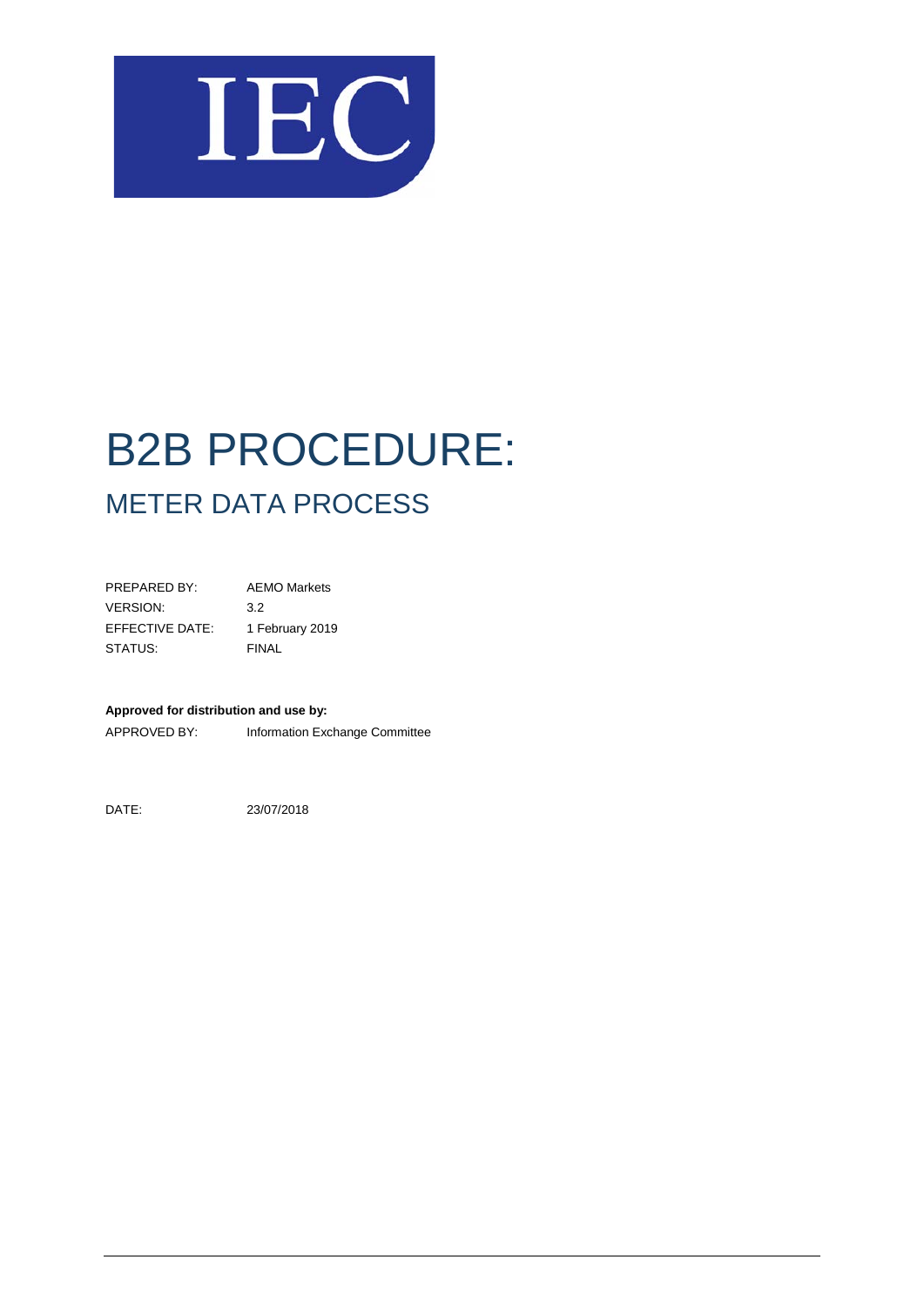

# B2B PROCEDURE: METER DATA PROCESS

| PREPARED BY:    | <b>AEMO Markets</b> |
|-----------------|---------------------|
| <b>VERSION:</b> | 3.2                 |
| EFFECTIVE DATE: | 1 February 2019     |
| STATUS:         | <b>FINAL</b>        |

#### **Approved for distribution and use by:**

APPROVED BY: Information Exchange Committee

DATE: 23/07/2018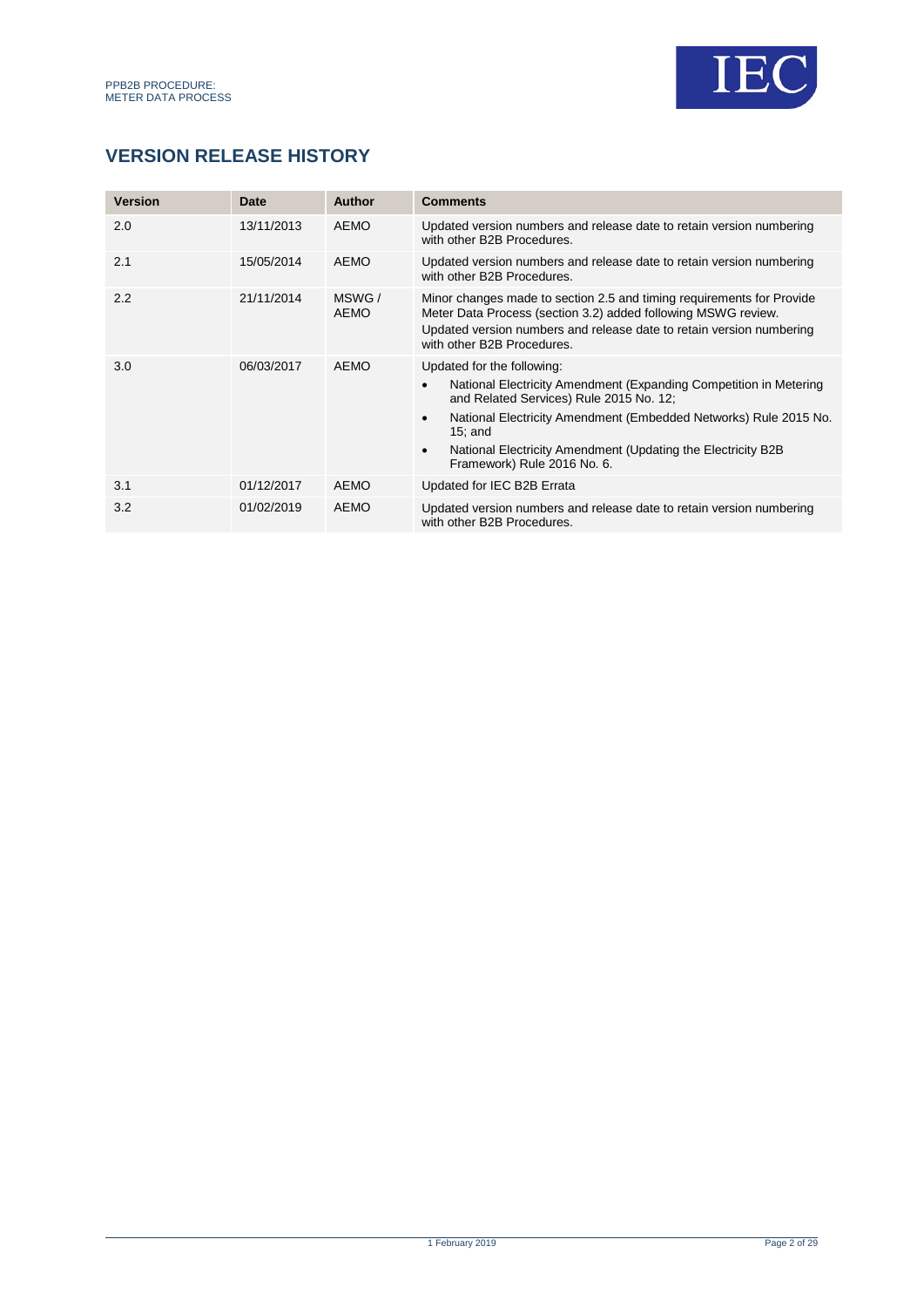

## **VERSION RELEASE HISTORY**

| <b>Version</b> | Date       | Author               | <b>Comments</b>                                                                                                                                                                                                                                                                                                                                       |
|----------------|------------|----------------------|-------------------------------------------------------------------------------------------------------------------------------------------------------------------------------------------------------------------------------------------------------------------------------------------------------------------------------------------------------|
| 2.0            | 13/11/2013 | <b>AEMO</b>          | Updated version numbers and release date to retain version numbering<br>with other B2B Procedures.                                                                                                                                                                                                                                                    |
| 2.1            | 15/05/2014 | AEMO                 | Updated version numbers and release date to retain version numbering<br>with other B2B Procedures.                                                                                                                                                                                                                                                    |
| 2.2            | 21/11/2014 | MSWG/<br><b>AEMO</b> | Minor changes made to section 2.5 and timing requirements for Provide<br>Meter Data Process (section 3.2) added following MSWG review.<br>Updated version numbers and release date to retain version numbering<br>with other B2B Procedures.                                                                                                          |
| 3.0            | 06/03/2017 | AEMO                 | Updated for the following:<br>National Electricity Amendment (Expanding Competition in Metering<br>and Related Services) Rule 2015 No. 12;<br>National Electricity Amendment (Embedded Networks) Rule 2015 No.<br>$\bullet$<br>$15$ ; and<br>National Electricity Amendment (Updating the Electricity B2B<br>$\bullet$<br>Framework) Rule 2016 No. 6. |
| 3.1            | 01/12/2017 | AEMO                 | Updated for IEC B2B Errata                                                                                                                                                                                                                                                                                                                            |
| 3.2            | 01/02/2019 | AEMO                 | Updated version numbers and release date to retain version numbering<br>with other B2B Procedures.                                                                                                                                                                                                                                                    |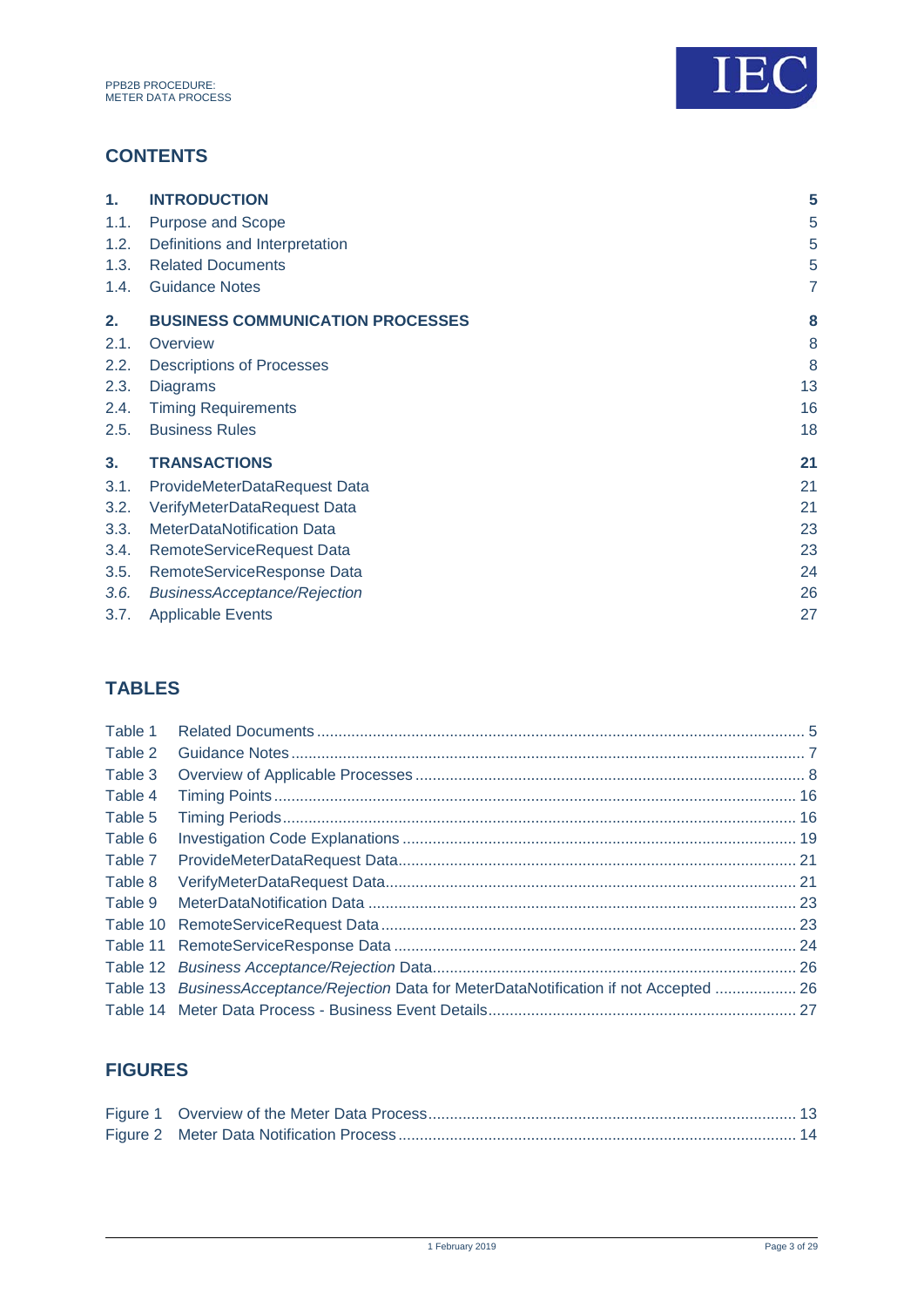

## **CONTENTS**

| 1.   | <b>INTRODUCTION</b>                     | 5  |
|------|-----------------------------------------|----|
| 1.1. | <b>Purpose and Scope</b>                | 5  |
| 1.2. | Definitions and Interpretation          | 5  |
| 1.3. | <b>Related Documents</b>                | 5  |
| 1.4. | <b>Guidance Notes</b>                   | 7  |
| 2.   | <b>BUSINESS COMMUNICATION PROCESSES</b> | 8  |
| 2.1. | Overview                                | 8  |
| 2.2. | <b>Descriptions of Processes</b>        | 8  |
| 2.3. | <b>Diagrams</b>                         | 13 |
| 2.4. | <b>Timing Requirements</b>              | 16 |
| 2.5. | <b>Business Rules</b>                   | 18 |
| 3.   | <b>TRANSACTIONS</b>                     | 21 |
| 3.1. | ProvideMeterDataRequest Data            | 21 |
| 3.2. | VerifyMeterDataRequest Data             | 21 |
| 3.3. | <b>MeterDataNotification Data</b>       | 23 |
| 3.4. | RemoteServiceRequest Data               | 23 |
| 3.5. | RemoteServiceResponse Data              | 24 |
| 3.6. | <b>BusinessAcceptance/Rejection</b>     | 26 |
| 3.7. | <b>Applicable Events</b>                | 27 |

## **TABLES**

| Table 13 BusinessAcceptance/Rejection Data for MeterDataNotification if not Accepted  26 |
|------------------------------------------------------------------------------------------|
|                                                                                          |
|                                                                                          |

# **FIGURES**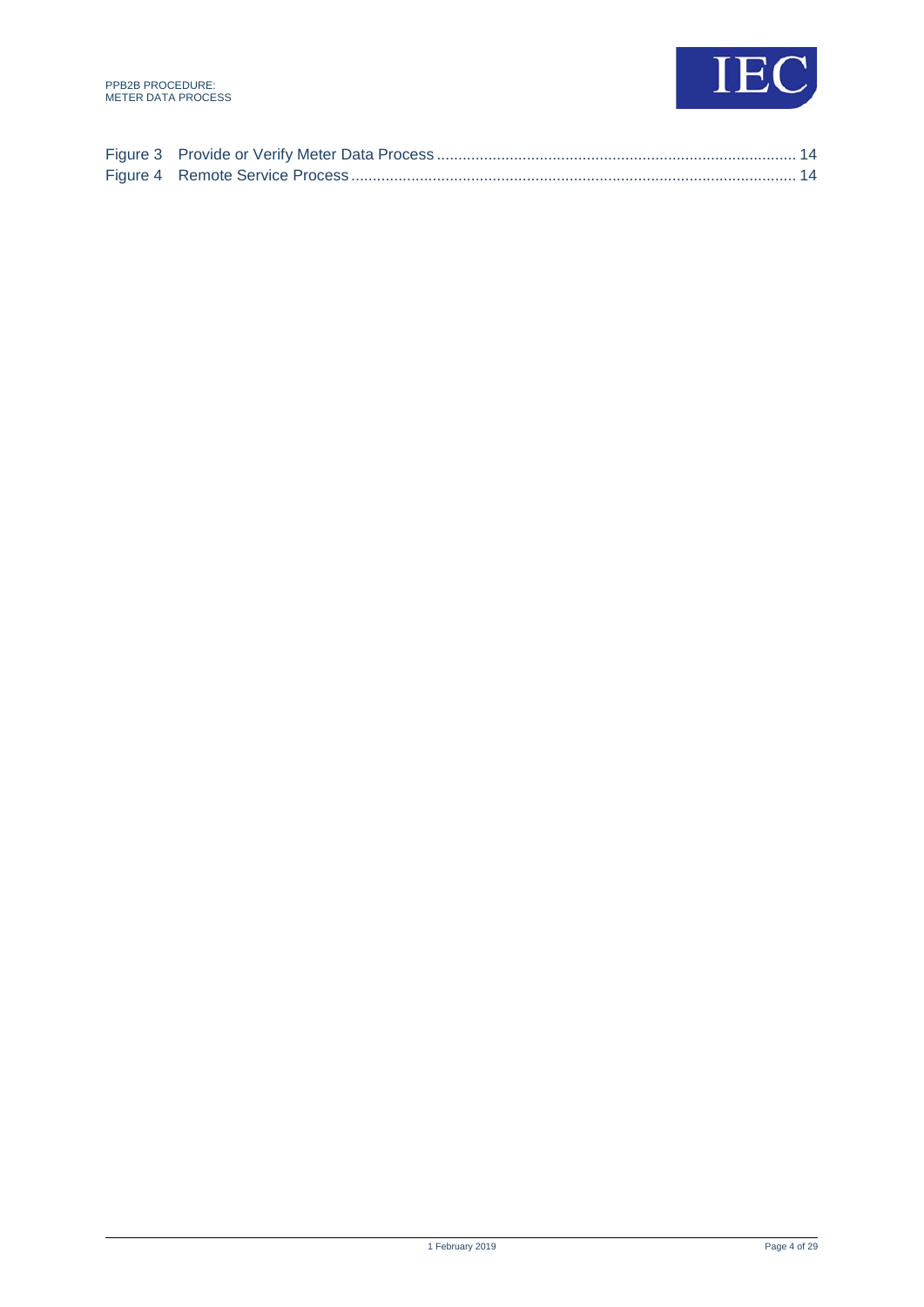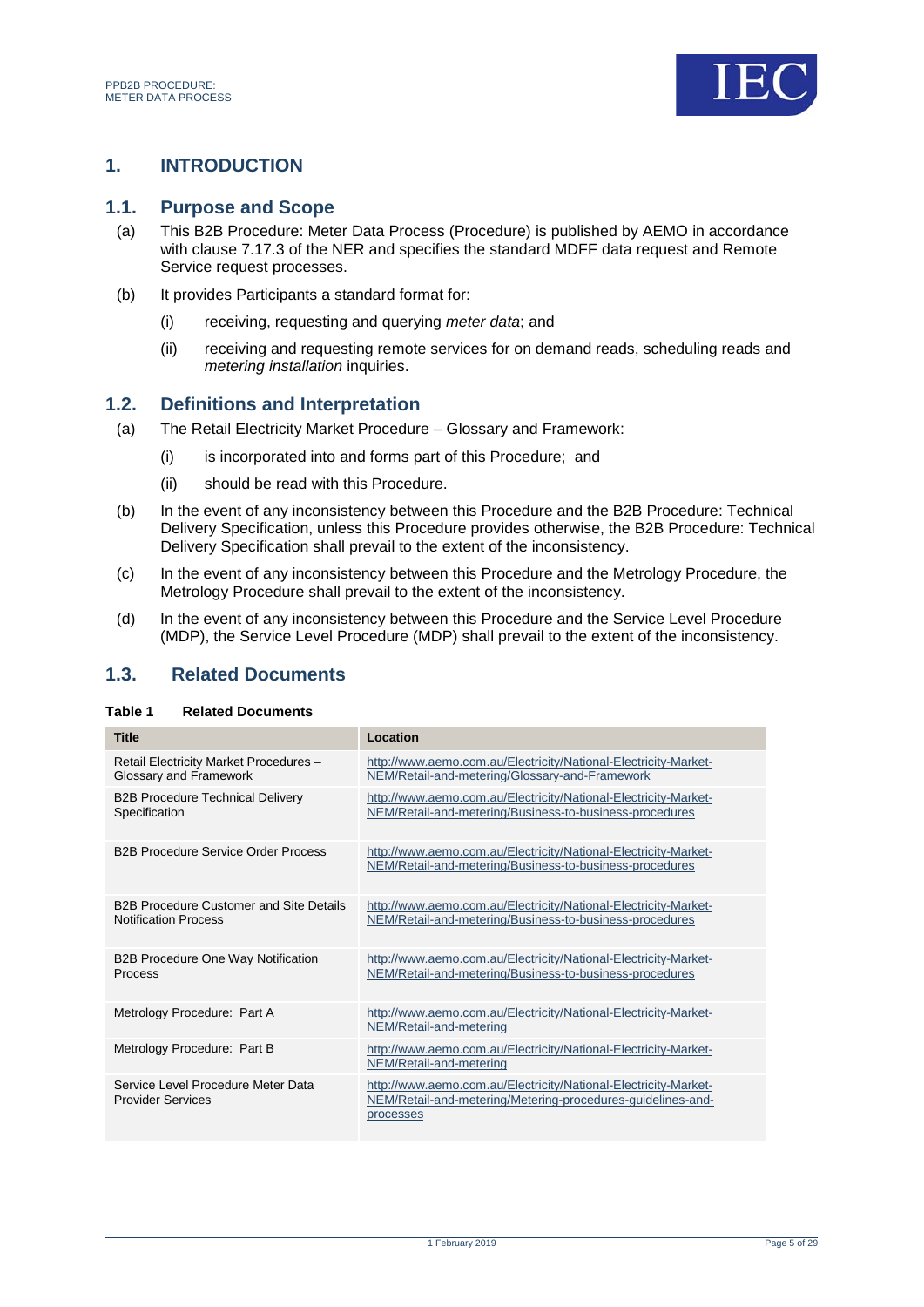

## <span id="page-4-0"></span>**1. INTRODUCTION**

### <span id="page-4-1"></span>**1.1. Purpose and Scope**

- (a) This B2B Procedure: Meter Data Process (Procedure) is published by AEMO in accordance with clause 7.17.3 of the NER and specifies the standard MDFF data request and Remote Service request processes.
- (b) It provides Participants a standard format for:
	- (i) receiving, requesting and querying *meter data*; and
	- (ii) receiving and requesting remote services for on demand reads, scheduling reads and *metering installation* inquiries.

## <span id="page-4-2"></span>**1.2. Definitions and Interpretation**

- (a) The Retail Electricity Market Procedure Glossary and Framework:
	- (i) is incorporated into and forms part of this Procedure; and
	- (ii) should be read with this Procedure.
- (b) In the event of any inconsistency between this Procedure and the B2B Procedure: Technical Delivery Specification, unless this Procedure provides otherwise, the B2B Procedure: Technical Delivery Specification shall prevail to the extent of the inconsistency.
- (c) In the event of any inconsistency between this Procedure and the Metrology Procedure, the Metrology Procedure shall prevail to the extent of the inconsistency.
- (d) In the event of any inconsistency between this Procedure and the Service Level Procedure (MDP), the Service Level Procedure (MDP) shall prevail to the extent of the inconsistency.

## <span id="page-4-3"></span>**1.3. Related Documents**

#### <span id="page-4-4"></span>**Table 1 Related Documents**

| <b>Title</b>                                                                  | Location                                                                                                                                    |
|-------------------------------------------------------------------------------|---------------------------------------------------------------------------------------------------------------------------------------------|
| Retail Electricity Market Procedures -<br>Glossary and Framework              | http://www.aemo.com.au/Electricity/National-Electricity-Market-<br>NEM/Retail-and-metering/Glossary-and-Framework                           |
| <b>B2B Procedure Technical Delivery</b><br>Specification                      | http://www.aemo.com.au/Electricity/National-Electricity-Market-<br>NEM/Retail-and-metering/Business-to-business-procedures                  |
| <b>B2B Procedure Service Order Process</b>                                    | http://www.aemo.com.au/Electricity/National-Electricity-Market-<br>NEM/Retail-and-metering/Business-to-business-procedures                  |
| <b>B2B Procedure Customer and Site Details</b><br><b>Notification Process</b> | http://www.aemo.com.au/Electricity/National-Electricity-Market-<br>NEM/Retail-and-metering/Business-to-business-procedures                  |
| <b>B2B Procedure One Way Notification</b><br><b>Process</b>                   | http://www.aemo.com.au/Electricity/National-Electricity-Market-<br>NEM/Retail-and-metering/Business-to-business-procedures                  |
| Metrology Procedure: Part A                                                   | http://www.aemo.com.au/Electricity/National-Electricity-Market-<br>NEM/Retail-and-metering                                                  |
| Metrology Procedure: Part B                                                   | http://www.aemo.com.au/Electricity/National-Electricity-Market-<br>NEM/Retail-and-metering                                                  |
| Service Level Procedure Meter Data<br><b>Provider Services</b>                | http://www.aemo.com.au/Electricity/National-Electricity-Market-<br>NEM/Retail-and-metering/Metering-procedures-guidelines-and-<br>processes |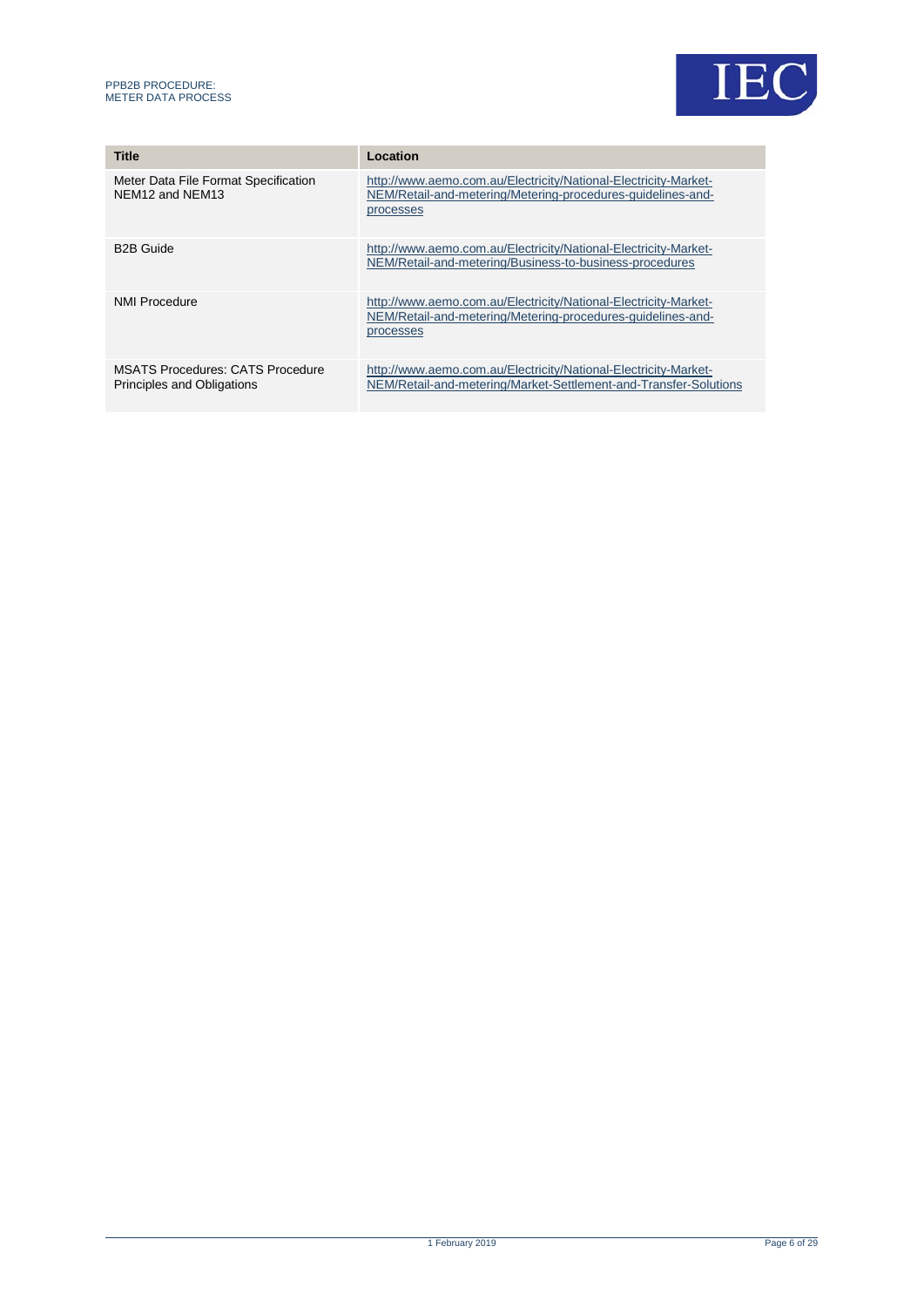



| <b>Title</b>                                                          | Location                                                                                                                                    |
|-----------------------------------------------------------------------|---------------------------------------------------------------------------------------------------------------------------------------------|
| Meter Data File Format Specification<br>NFM12 and NFM13               | http://www.aemo.com.au/Electricity/National-Electricity-Market-<br>NEM/Retail-and-metering/Metering-procedures-guidelines-and-<br>processes |
| <b>B2B Guide</b>                                                      | http://www.aemo.com.au/Electricity/National-Electricity-Market-<br>NEM/Retail-and-metering/Business-to-business-procedures                  |
| NMI Procedure                                                         | http://www.aemo.com.au/Electricity/National-Electricity-Market-<br>NEM/Retail-and-metering/Metering-procedures-guidelines-and-<br>processes |
| <b>MSATS Procedures: CATS Procedure</b><br>Principles and Obligations | http://www.aemo.com.au/Electricity/National-Electricity-Market-<br>NEM/Retail-and-metering/Market-Settlement-and-Transfer-Solutions         |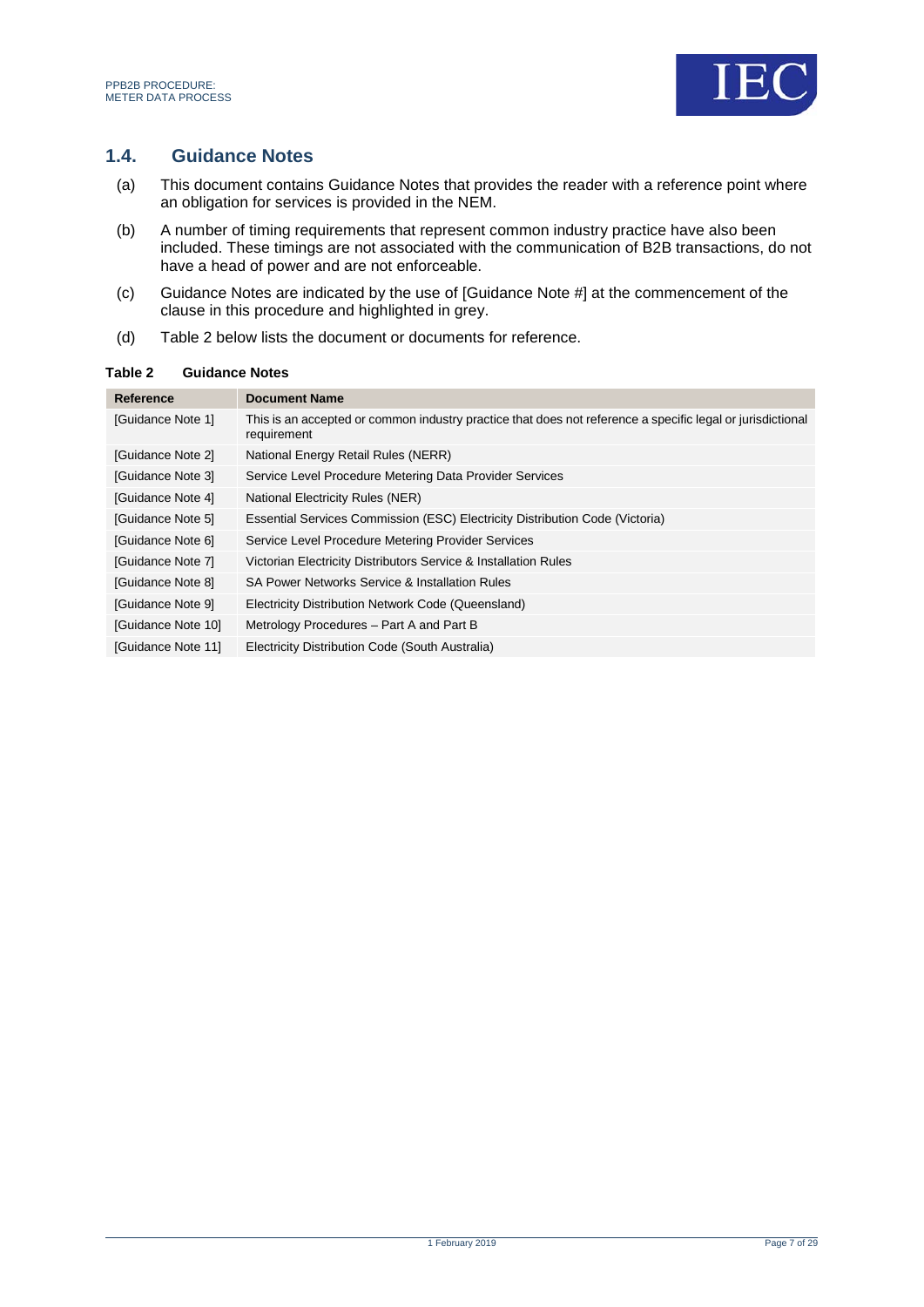

## <span id="page-6-0"></span>**1.4. Guidance Notes**

- (a) This document contains Guidance Notes that provides the reader with a reference point where an obligation for services is provided in the NEM.
- (b) A number of timing requirements that represent common industry practice have also been included. These timings are not associated with the communication of B2B transactions, do not have a head of power and are not enforceable.
- (c) Guidance Notes are indicated by the use of [Guidance Note #] at the commencement of the clause in this procedure and highlighted in grey.
- (d) Table 2 below lists the document or documents for reference.

#### <span id="page-6-1"></span>**Table 2 Guidance Notes**

| <b>Reference</b>   | <b>Document Name</b>                                                                                                      |
|--------------------|---------------------------------------------------------------------------------------------------------------------------|
| [Guidance Note 1]  | This is an accepted or common industry practice that does not reference a specific legal or jurisdictional<br>requirement |
| [Guidance Note 2]  | National Energy Retail Rules (NERR)                                                                                       |
| [Guidance Note 3]  | Service Level Procedure Metering Data Provider Services                                                                   |
| [Guidance Note 4]  | National Electricity Rules (NER)                                                                                          |
| [Guidance Note 5]  | Essential Services Commission (ESC) Electricity Distribution Code (Victoria)                                              |
| [Guidance Note 6]  | Service Level Procedure Metering Provider Services                                                                        |
| [Guidance Note 7]  | Victorian Electricity Distributors Service & Installation Rules                                                           |
| [Guidance Note 8]  | SA Power Networks Service & Installation Rules                                                                            |
| [Guidance Note 9]  | Electricity Distribution Network Code (Queensland)                                                                        |
| [Guidance Note 10] | Metrology Procedures - Part A and Part B                                                                                  |
| [Guidance Note 11] | Electricity Distribution Code (South Australia)                                                                           |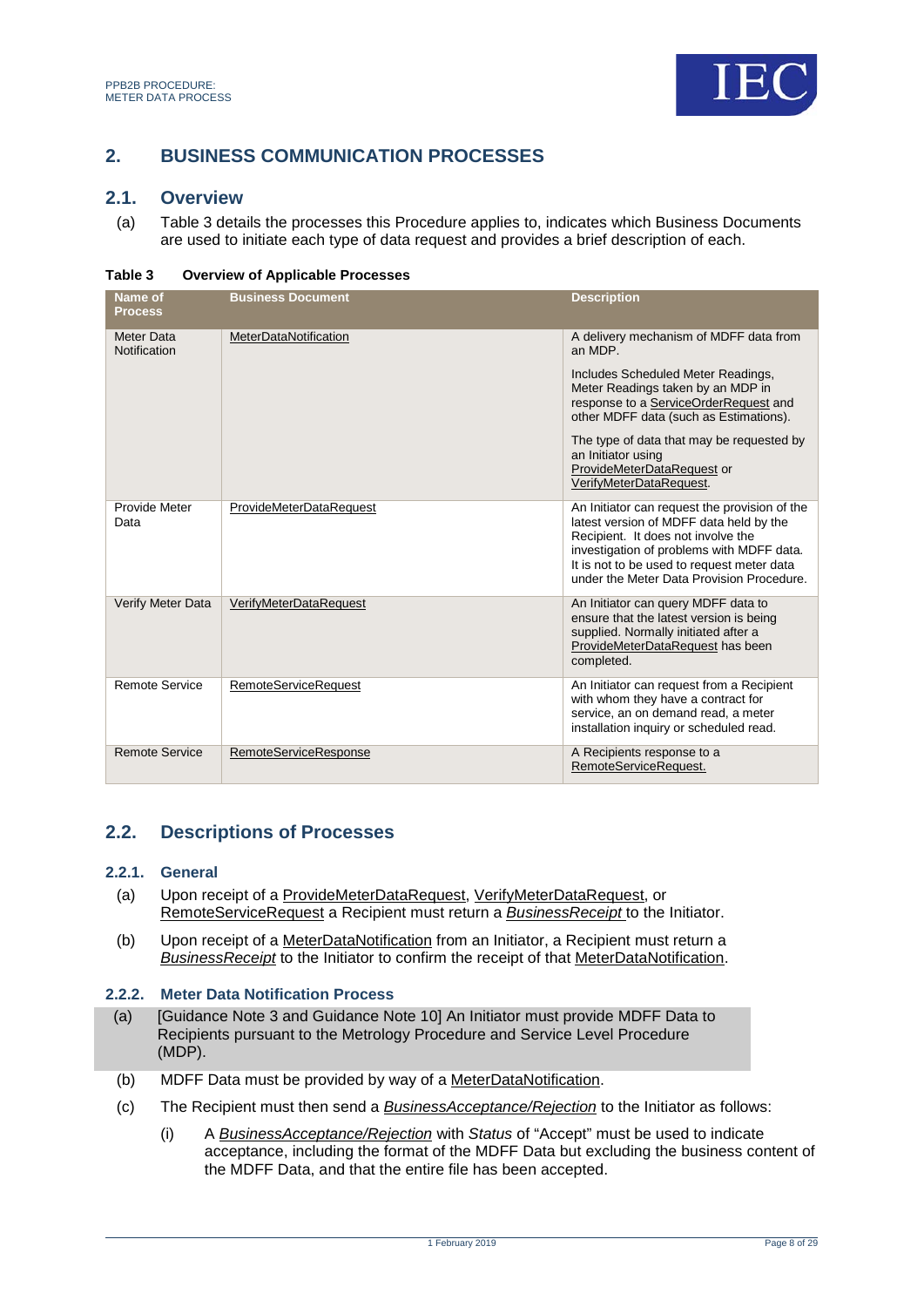

## <span id="page-7-0"></span>**2. BUSINESS COMMUNICATION PROCESSES**

#### <span id="page-7-1"></span>**2.1. Overview**

(a) Table 3 details the processes this Procedure applies to, indicates which Business Documents are used to initiate each type of data request and provides a brief description of each.

| Name of<br><b>Process</b>  | <b>Business Document</b>     | <b>Description</b>                                                                                                                                                                                                                                                     |
|----------------------------|------------------------------|------------------------------------------------------------------------------------------------------------------------------------------------------------------------------------------------------------------------------------------------------------------------|
| Meter Data<br>Notification | <b>MeterDataNotification</b> | A delivery mechanism of MDFF data from<br>an MDP.                                                                                                                                                                                                                      |
|                            |                              | Includes Scheduled Meter Readings,<br>Meter Readings taken by an MDP in<br>response to a ServiceOrderRequest and<br>other MDFF data (such as Estimations).                                                                                                             |
|                            |                              | The type of data that may be requested by<br>an Initiator using<br>ProvideMeterDataRequest or<br>VerifyMeterDataRequest.                                                                                                                                               |
| Provide Meter<br>Data      | ProvideMeterDataRequest      | An Initiator can request the provision of the<br>latest version of MDFF data held by the<br>Recipient. It does not involve the<br>investigation of problems with MDFF data.<br>It is not to be used to request meter data<br>under the Meter Data Provision Procedure. |
| Verify Meter Data          | VerifyMeterDataRequest       | An Initiator can query MDFF data to<br>ensure that the latest version is being<br>supplied. Normally initiated after a<br>ProvideMeterDataRequest has been<br>completed.                                                                                               |
| <b>Remote Service</b>      | <b>RemoteServiceRequest</b>  | An Initiator can request from a Recipient<br>with whom they have a contract for<br>service, an on demand read, a meter<br>installation inquiry or scheduled read.                                                                                                      |
| <b>Remote Service</b>      | <b>RemoteServiceResponse</b> | A Recipients response to a<br>RemoteServiceRequest.                                                                                                                                                                                                                    |

#### <span id="page-7-3"></span>**Table 3 Overview of Applicable Processes**

## <span id="page-7-2"></span>**2.2. Descriptions of Processes**

#### **2.2.1. General**

- (a) Upon receipt of a ProvideMeterDataRequest, VerifyMeterDataRequest, or RemoteServiceRequest a Recipient must return a *BusinessReceipt* to the Initiator.
- (b) Upon receipt of a MeterDataNotification from an Initiator, a Recipient must return a *BusinessReceipt* to the Initiator to confirm the receipt of that MeterDataNotification.

#### **2.2.2. Meter Data Notification Process**

- (a) [Guidance Note 3 and Guidance Note 10] An Initiator must provide MDFF Data to Recipients pursuant to the Metrology Procedure and Service Level Procedure (MDP).
- (b) MDFF Data must be provided by way of a MeterDataNotification.
- (c) The Recipient must then send a *BusinessAcceptance/Rejection* to the Initiator as follows:
	- (i) A *BusinessAcceptance/Rejection* with *Status* of "Accept" must be used to indicate acceptance, including the format of the MDFF Data but excluding the business content of the MDFF Data, and that the entire file has been accepted.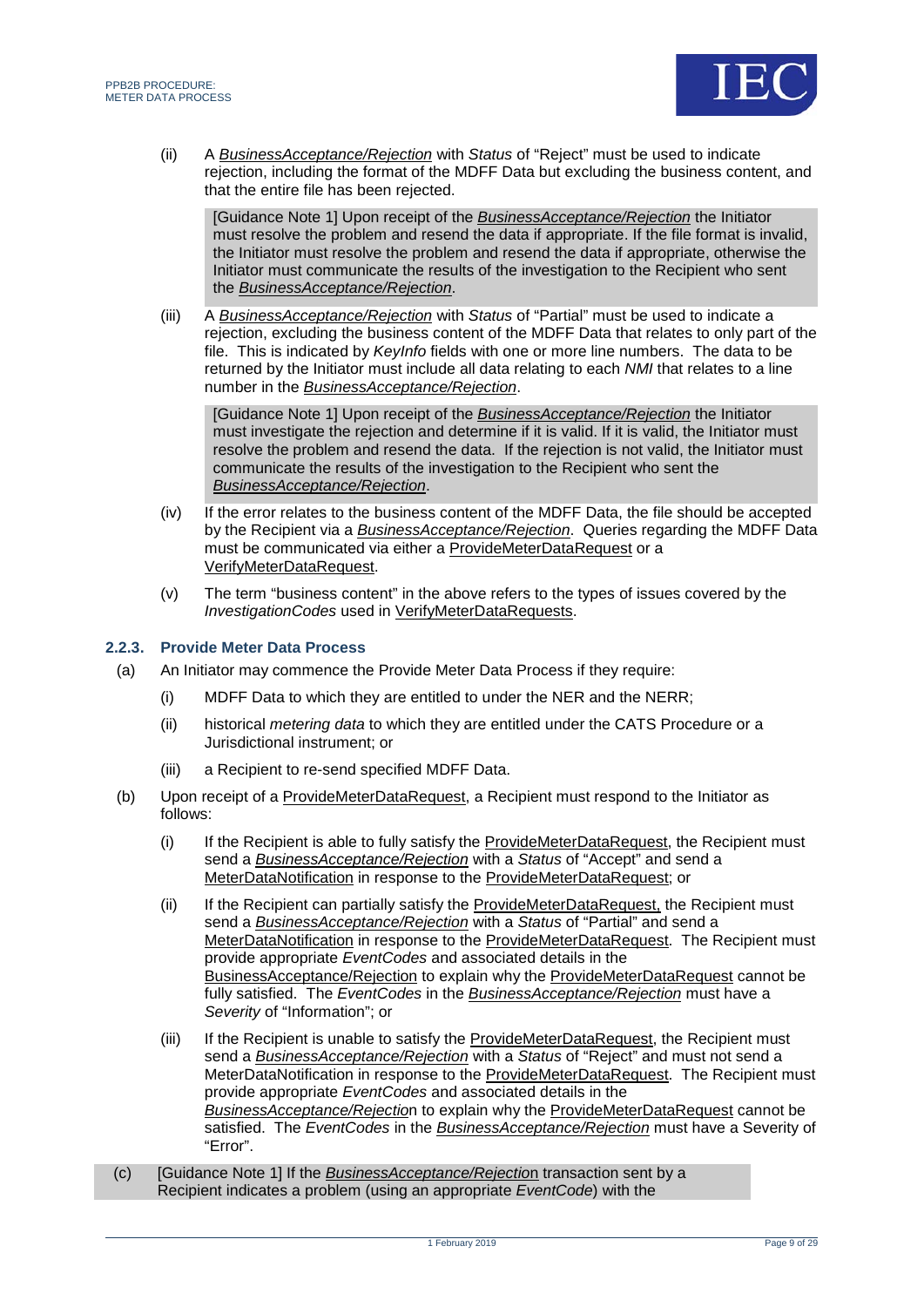

(ii) A *BusinessAcceptance/Rejection* with *Status* of "Reject" must be used to indicate rejection, including the format of the MDFF Data but excluding the business content, and that the entire file has been rejected.

[Guidance Note 1] Upon receipt of the *BusinessAcceptance/Rejection* the Initiator must resolve the problem and resend the data if appropriate. If the file format is invalid, the Initiator must resolve the problem and resend the data if appropriate, otherwise the Initiator must communicate the results of the investigation to the Recipient who sent the *BusinessAcceptance/Rejection*.

(iii) A *BusinessAcceptance/Rejection* with *Status* of "Partial" must be used to indicate a rejection, excluding the business content of the MDFF Data that relates to only part of the file. This is indicated by *KeyInfo* fields with one or more line numbers. The data to be returned by the Initiator must include all data relating to each *NMI* that relates to a line number in the *BusinessAcceptance/Rejection*.

[Guidance Note 1] Upon receipt of the *BusinessAcceptance/Rejection* the Initiator must investigate the rejection and determine if it is valid. If it is valid, the Initiator must resolve the problem and resend the data. If the rejection is not valid, the Initiator must communicate the results of the investigation to the Recipient who sent the *BusinessAcceptance/Rejection*.

- (iv) If the error relates to the business content of the MDFF Data, the file should be accepted by the Recipient via a *BusinessAcceptance/Rejection*. Queries regarding the MDFF Data must be communicated via either a ProvideMeterDataRequest or a VerifyMeterDataRequest.
- (v) The term "business content" in the above refers to the types of issues covered by the *InvestigationCodes* used in VerifyMeterDataRequests.

#### **2.2.3. Provide Meter Data Process**

- (a) An Initiator may commence the Provide Meter Data Process if they require:
	- (i) MDFF Data to which they are entitled to under the NER and the NERR;
	- (ii) historical *metering data* to which they are entitled under the CATS Procedure or a Jurisdictional instrument; or
	- (iii) a Recipient to re-send specified MDFF Data.
- (b) Upon receipt of a ProvideMeterDataRequest, a Recipient must respond to the Initiator as follows:
	- (i) If the Recipient is able to fully satisfy the ProvideMeterDataRequest, the Recipient must send a *BusinessAcceptance/Rejection* with a *Status* of "Accept" and send a MeterDataNotification in response to the ProvideMeterDataRequest; or
	- (ii) If the Recipient can partially satisfy the ProvideMeterDataRequest, the Recipient must send a *BusinessAcceptance/Rejection* with a *Status* of "Partial" and send a MeterDataNotification in response to the ProvideMeterDataRequest. The Recipient must provide appropriate *EventCodes* and associated details in the BusinessAcceptance/Rejection to explain why the ProvideMeterDataRequest cannot be fully satisfied. The *EventCodes* in the *BusinessAcceptance/Rejection* must have a *Severity* of "Information"; or
	- (iii) If the Recipient is unable to satisfy the ProvideMeterDataRequest, the Recipient must send a *BusinessAcceptance/Rejection* with a *Status* of "Reject" and must not send a MeterDataNotification in response to the ProvideMeterDataRequest. The Recipient must provide appropriate *EventCodes* and associated details in the *BusinessAcceptance/Rejectio*n to explain why the ProvideMeterDataRequest cannot be satisfied. The *EventCodes* in the *BusinessAcceptance/Rejection* must have a Severity of "Error".
- (c) [Guidance Note 1] If the *BusinessAcceptance/Rejectio*n transaction sent by a Recipient indicates a problem (using an appropriate *EventCode*) with the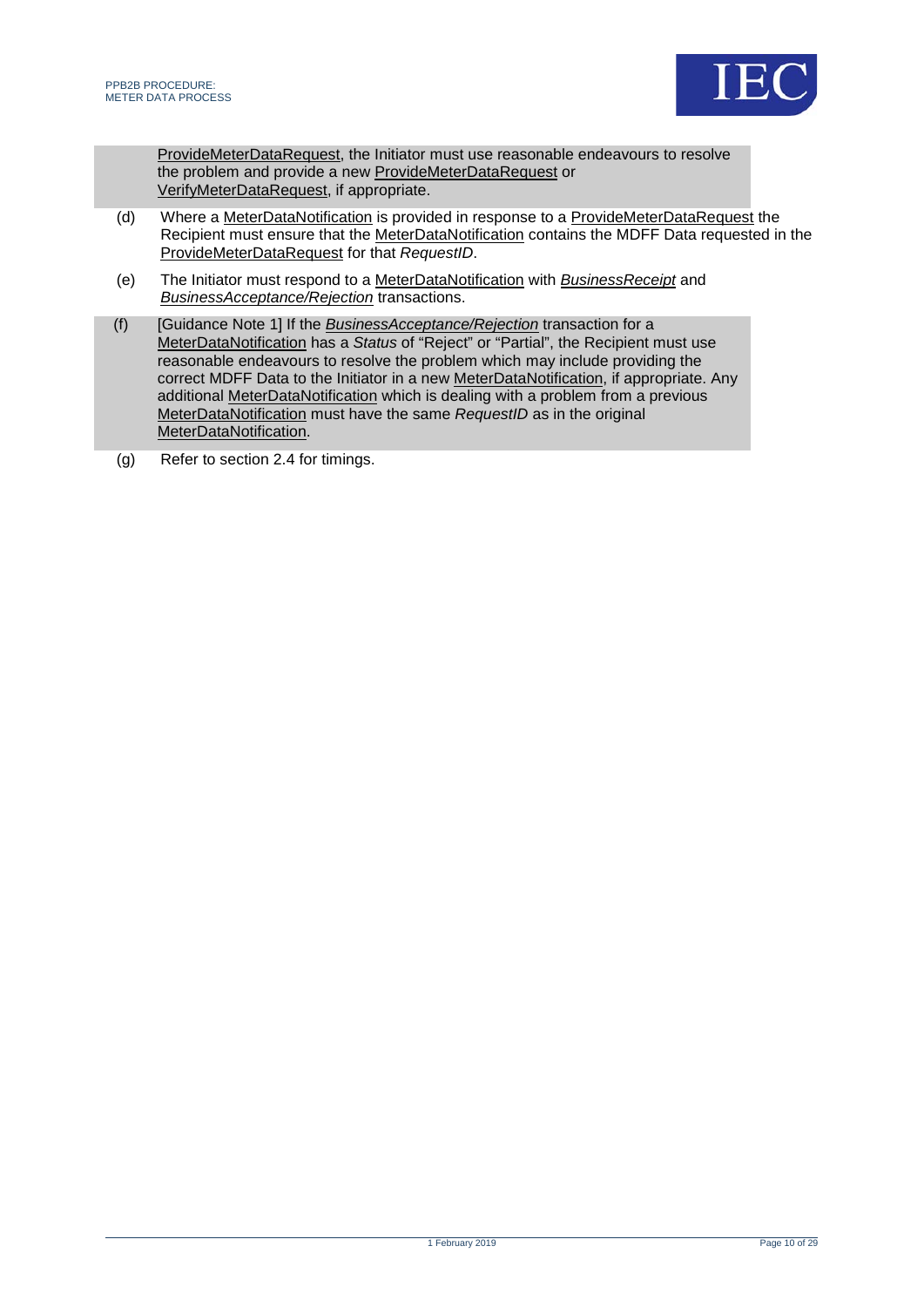

ProvideMeterDataRequest, the Initiator must use reasonable endeavours to resolve the problem and provide a new ProvideMeterDataRequest or VerifyMeterDataRequest, if appropriate.

- (d) Where a MeterDataNotification is provided in response to a ProvideMeterDataRequest the Recipient must ensure that the MeterDataNotification contains the MDFF Data requested in the ProvideMeterDataRequest for that *RequestID*.
- (e) The Initiator must respond to a MeterDataNotification with *BusinessReceipt* and *BusinessAcceptance/Rejection* transactions.
- (f) [Guidance Note 1] If the *BusinessAcceptance/Rejection* transaction for a MeterDataNotification has a *Status* of "Reject" or "Partial", the Recipient must use reasonable endeavours to resolve the problem which may include providing the correct MDFF Data to the Initiator in a new MeterDataNotification, if appropriate. Any additional MeterDataNotification which is dealing with a problem from a previous MeterDataNotification must have the same *RequestID* as in the original MeterDataNotification.
- (g) Refer to section 2.4 for timings.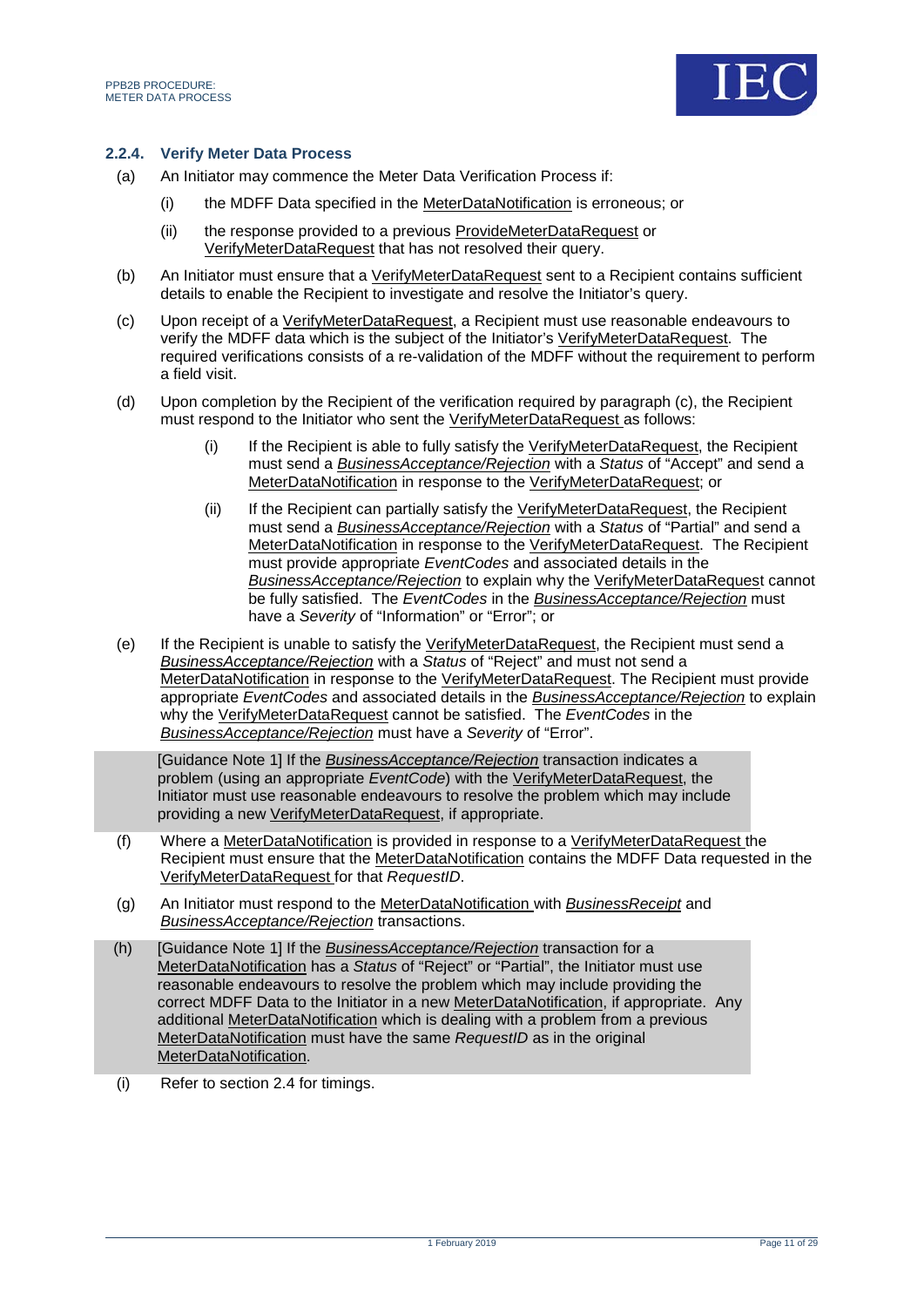

#### **2.2.4. Verify Meter Data Process**

- (a) An Initiator may commence the Meter Data Verification Process if:
	- (i) the MDFF Data specified in the MeterDataNotification is erroneous; or
	- (ii) the response provided to a previous ProvideMeterDataRequest or VerifyMeterDataRequest that has not resolved their query.
- (b) An Initiator must ensure that a VerifyMeterDataRequest sent to a Recipient contains sufficient details to enable the Recipient to investigate and resolve the Initiator's query.
- (c) Upon receipt of a VerifyMeterDataRequest, a Recipient must use reasonable endeavours to verify the MDFF data which is the subject of the Initiator's VerifyMeterDataRequest. The required verifications consists of a re-validation of the MDFF without the requirement to perform a field visit.
- (d) Upon completion by the Recipient of the verification required by paragraph (c), the Recipient must respond to the Initiator who sent the VerifyMeterDataRequest as follows:
	- (i) If the Recipient is able to fully satisfy the VerifyMeterDataRequest, the Recipient must send a *BusinessAcceptance/Rejection* with a *Status* of "Accept" and send a MeterDataNotification in response to the VerifyMeterDataRequest; or
	- (ii) If the Recipient can partially satisfy the VerifyMeterDataRequest, the Recipient must send a *BusinessAcceptance/Rejection* with a *Status* of "Partial" and send a MeterDataNotification in response to the VerifyMeterDataRequest. The Recipient must provide appropriate *EventCodes* and associated details in the *BusinessAcceptance/Rejection* to explain why the VerifyMeterDataRequest cannot be fully satisfied. The *EventCodes* in the *BusinessAcceptance/Rejection* must have a *Severity* of "Information" or "Error"; or
- (e) If the Recipient is unable to satisfy the VerifyMeterDataRequest, the Recipient must send a *BusinessAcceptance/Rejection* with a *Status* of "Reject" and must not send a MeterDataNotification in response to the VerifyMeterDataRequest. The Recipient must provide appropriate *EventCodes* and associated details in the *BusinessAcceptance/Rejection* to explain why the VerifyMeterDataRequest cannot be satisfied. The *EventCodes* in the *BusinessAcceptance/Rejection* must have a *Severity* of "Error".

[Guidance Note 1] If the *BusinessAcceptance/Rejection* transaction indicates a problem (using an appropriate *EventCode*) with the VerifyMeterDataRequest, the Initiator must use reasonable endeavours to resolve the problem which may include providing a new VerifyMeterDataRequest, if appropriate.

- (f) Where a MeterDataNotification is provided in response to a VerifyMeterDataRequest the Recipient must ensure that the MeterDataNotification contains the MDFF Data requested in the VerifyMeterDataRequest for that *RequestID*.
- (g) An Initiator must respond to the MeterDataNotification with *BusinessReceipt* and *BusinessAcceptance/Rejection* transactions.
- (h) [Guidance Note 1] If the *BusinessAcceptance/Rejection* transaction for a MeterDataNotification has a *Status* of "Reject" or "Partial", the Initiator must use reasonable endeavours to resolve the problem which may include providing the correct MDFF Data to the Initiator in a new MeterDataNotification, if appropriate. Any additional MeterDataNotification which is dealing with a problem from a previous MeterDataNotification must have the same *RequestID* as in the original MeterDataNotification.
- (i) Refer to section [2.4](#page-15-0) for timings.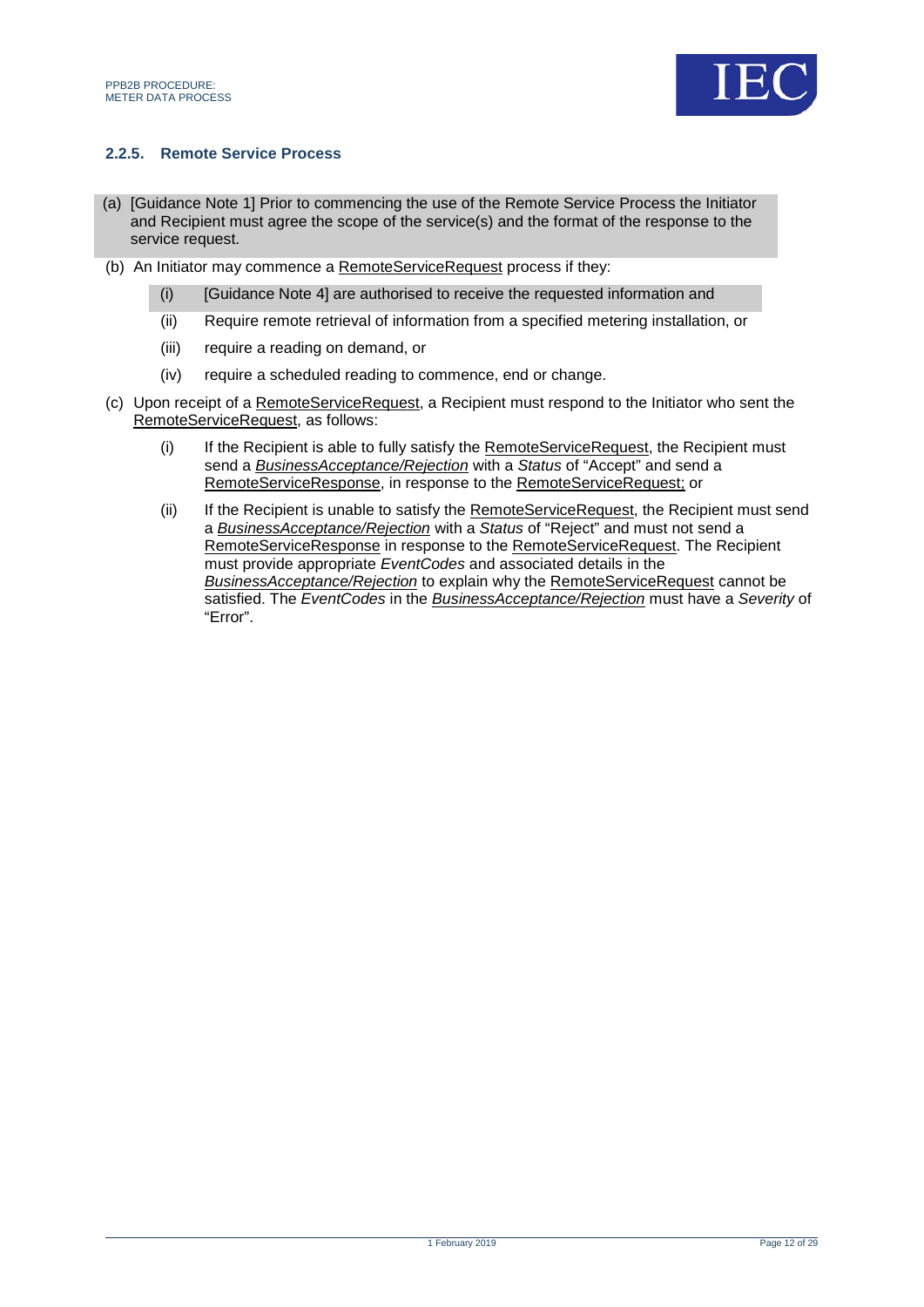

### **2.2.5. Remote Service Process**

- (a) [Guidance Note 1] Prior to commencing the use of the Remote Service Process the Initiator and Recipient must agree the scope of the service(s) and the format of the response to the service request.
- (b) An Initiator may commence a RemoteServiceRequest process if they:
	- (i) [Guidance Note 4] are authorised to receive the requested information and
	- (ii) Require remote retrieval of information from a specified metering installation, or
	- (iii) require a reading on demand, or
	- (iv) require a scheduled reading to commence, end or change.
- (c) Upon receipt of a RemoteServiceRequest, a Recipient must respond to the Initiator who sent the RemoteServiceRequest, as follows:
	- (i) If the Recipient is able to fully satisfy the RemoteServiceRequest, the Recipient must send a *BusinessAcceptance/Rejection* with a *Status* of "Accept" and send a RemoteServiceResponse, in response to the RemoteServiceRequest; or
	- (ii) If the Recipient is unable to satisfy the RemoteServiceRequest, the Recipient must send a *BusinessAcceptance/Rejection* with a *Status* of "Reject" and must not send a RemoteServiceResponse in response to the RemoteServiceRequest. The Recipient must provide appropriate *EventCodes* and associated details in the *BusinessAcceptance/Rejection* to explain why the RemoteServiceRequest cannot be satisfied. The *EventCodes* in the *BusinessAcceptance/Rejection* must have a *Severity* of "Error".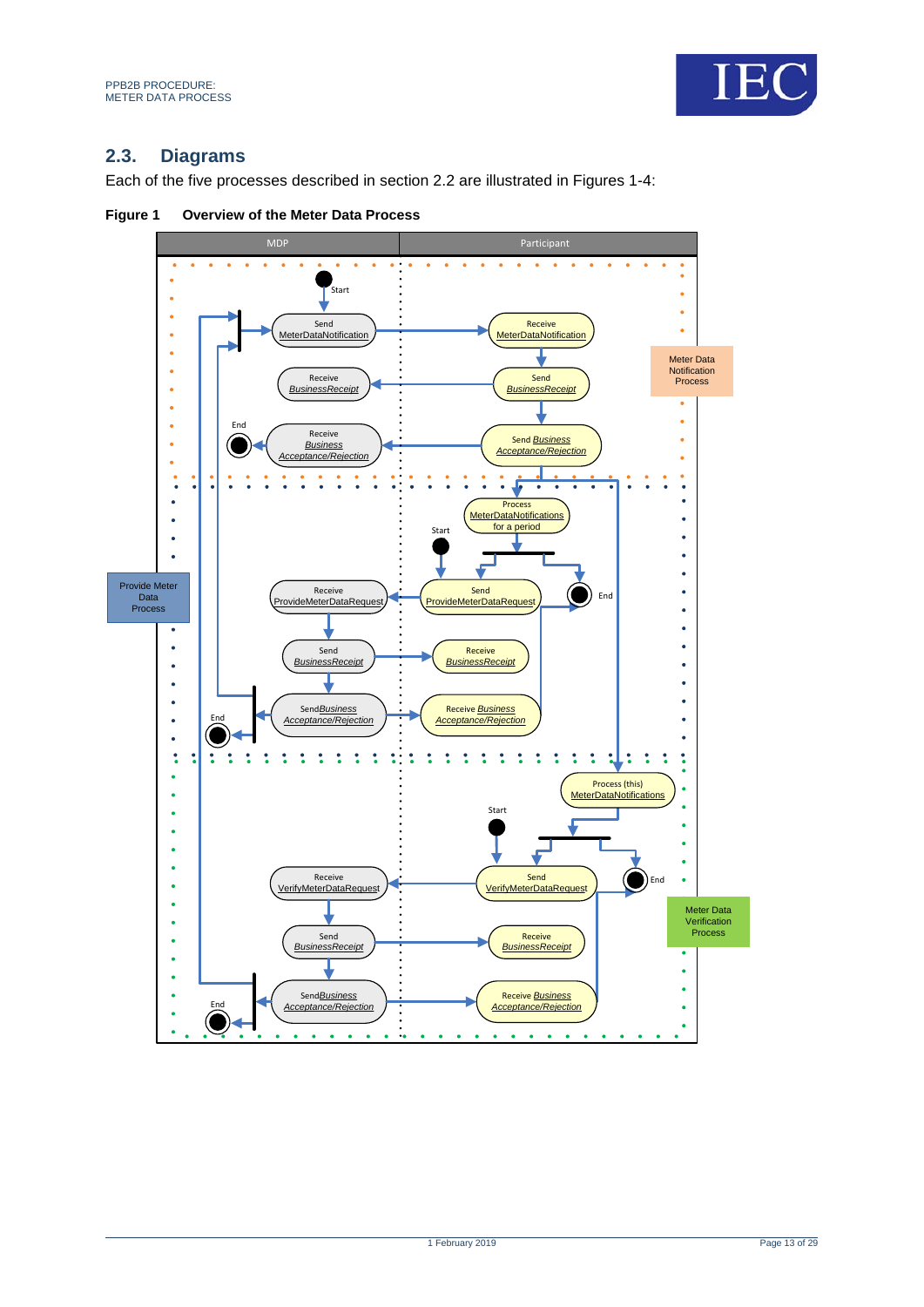PPB2B PROCEDURE: METER DATA PROCESS



## <span id="page-12-0"></span>**2.3. Diagrams**

Each of the five processes described in section [2.2](#page-7-2) are illustrated in Figures 1-4:

<span id="page-12-1"></span>**Figure 1 Overview of the Meter Data Process**

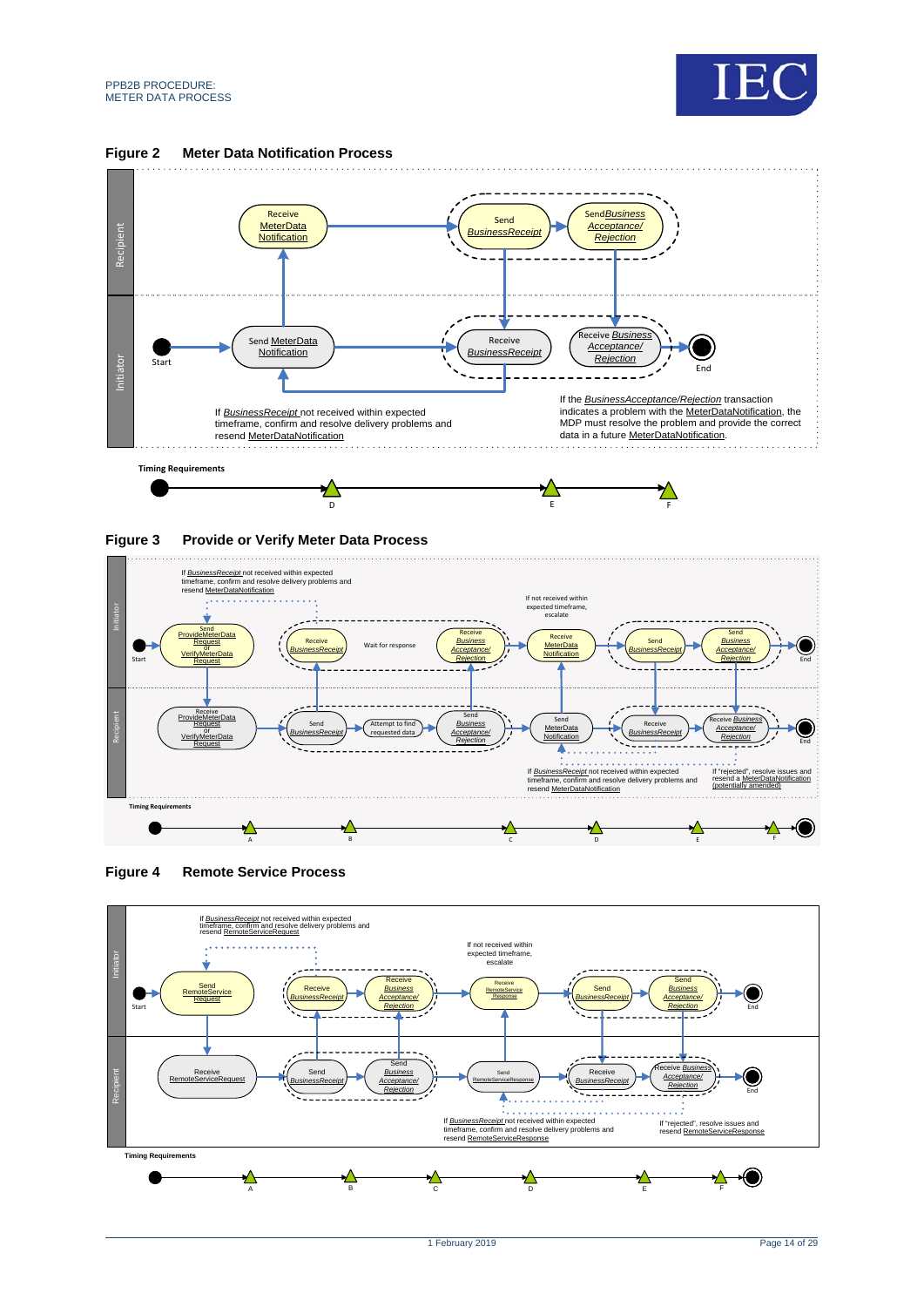

<span id="page-13-0"></span>



<span id="page-13-1"></span>



<span id="page-13-2"></span>**Figure 4 Remote Service Process**

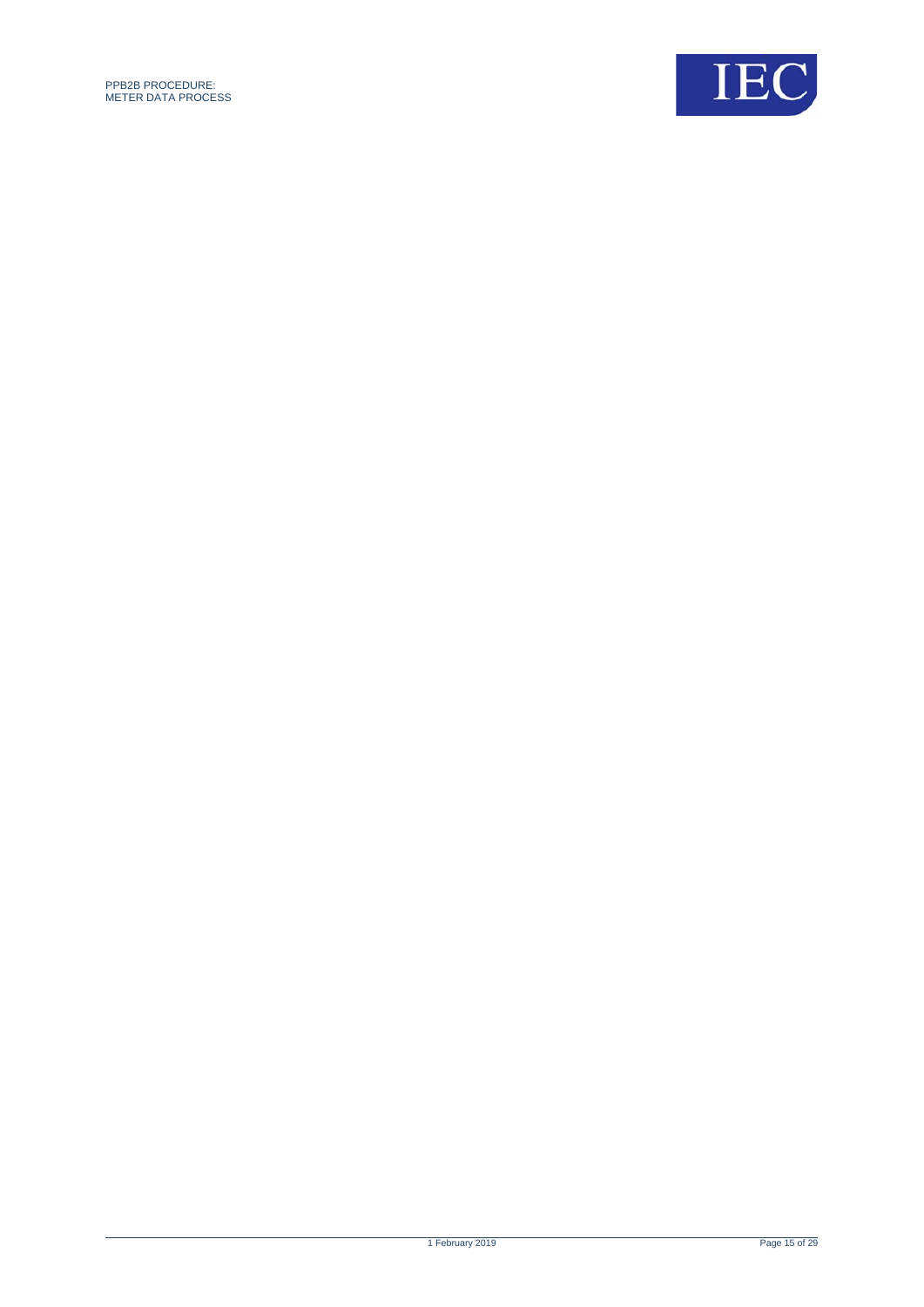

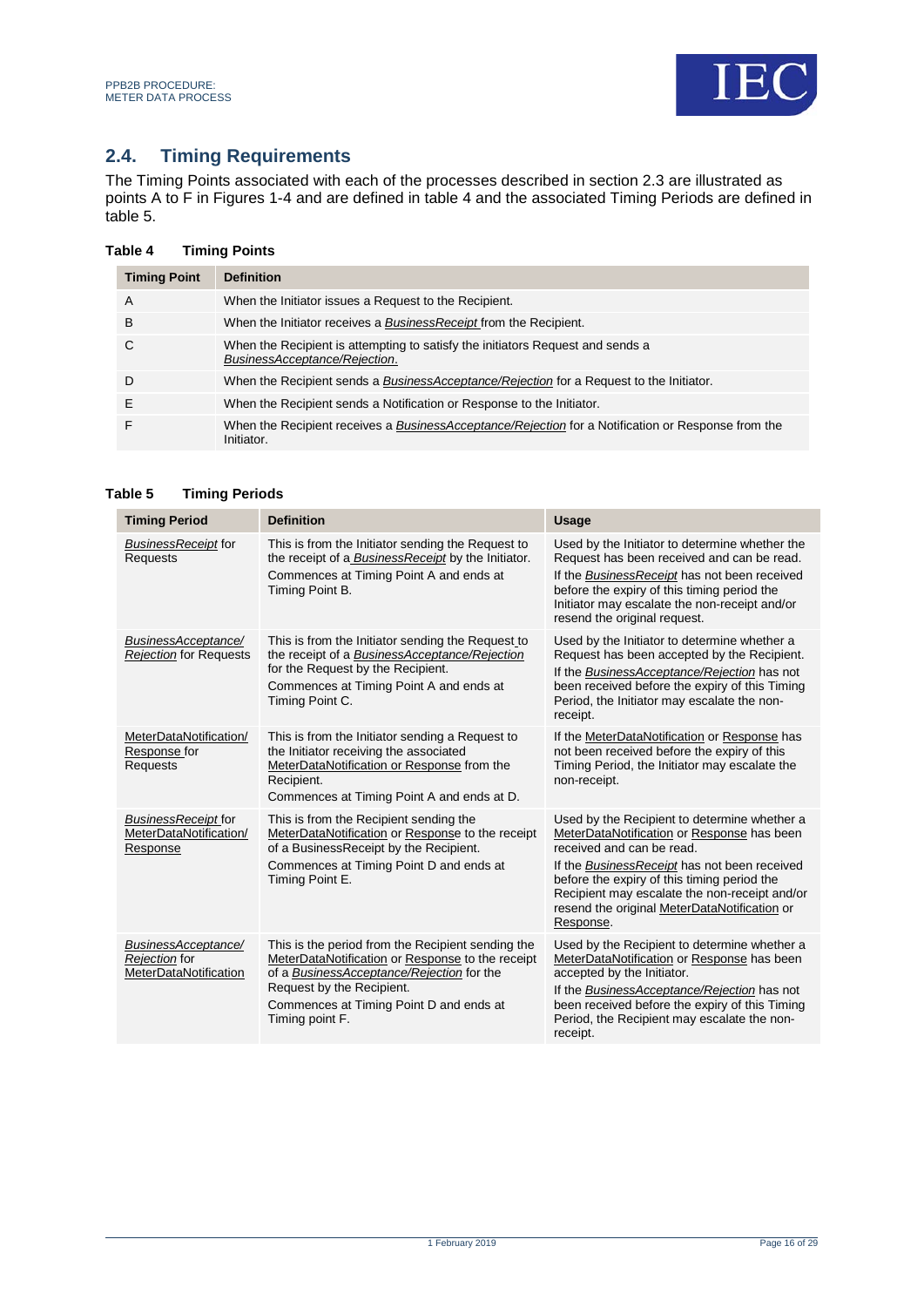

## <span id="page-15-0"></span>**2.4. Timing Requirements**

The Timing Points associated with each of the processes described in section [2.3](#page-12-0) are illustrated as points A to F in Figures 1-4 and are defined in table 4 and the associated Timing Periods are defined in table 5.

<span id="page-15-1"></span>

| Table 4<br><b>Timing Points</b>                                            |                     |                                                                                                                  |  |  |  |
|----------------------------------------------------------------------------|---------------------|------------------------------------------------------------------------------------------------------------------|--|--|--|
|                                                                            | <b>Timing Point</b> | <b>Definition</b>                                                                                                |  |  |  |
|                                                                            | $\overline{A}$      | When the Initiator issues a Request to the Recipient.                                                            |  |  |  |
|                                                                            | B                   | When the Initiator receives a Business Receipt from the Recipient.                                               |  |  |  |
|                                                                            | C                   | When the Recipient is attempting to satisfy the initiators Request and sends a<br>BusinessAcceptance/Rejection.  |  |  |  |
|                                                                            | D                   | When the Recipient sends a BusinessAcceptance/Rejection for a Request to the Initiator.                          |  |  |  |
| E<br>When the Recipient sends a Notification or Response to the Initiator. |                     |                                                                                                                  |  |  |  |
|                                                                            | F                   | When the Recipient receives a BusinessAcceptance/Rejection for a Notification or Response from the<br>Initiator. |  |  |  |

<span id="page-15-2"></span>

| Table 5 |  | <b>Timing Periods</b> |
|---------|--|-----------------------|
|         |  |                       |

| <b>Timing Period</b>                                                 | <b>Definition</b>                                                                                                                                                                                                                             | <b>Usage</b>                                                                                                                                                                                                                                                                                                                         |
|----------------------------------------------------------------------|-----------------------------------------------------------------------------------------------------------------------------------------------------------------------------------------------------------------------------------------------|--------------------------------------------------------------------------------------------------------------------------------------------------------------------------------------------------------------------------------------------------------------------------------------------------------------------------------------|
| <b>BusinessReceipt for</b><br><b>Requests</b>                        | This is from the Initiator sending the Request to<br>the receipt of a BusinessReceipt by the Initiator.<br>Commences at Timing Point A and ends at<br>Timing Point B.                                                                         | Used by the Initiator to determine whether the<br>Request has been received and can be read.<br>If the Business Receipt has not been received<br>before the expiry of this timing period the<br>Initiator may escalate the non-receipt and/or<br>resend the original request.                                                        |
| BusinessAcceptance/<br><b>Rejection for Requests</b>                 | This is from the Initiator sending the Request to<br>the receipt of a BusinessAcceptance/Rejection<br>for the Request by the Recipient.<br>Commences at Timing Point A and ends at<br>Timing Point C.                                         | Used by the Initiator to determine whether a<br>Request has been accepted by the Recipient.<br>If the BusinessAcceptance/Rejection has not<br>been received before the expiry of this Timing<br>Period, the Initiator may escalate the non-<br>receipt.                                                                              |
| MeterDataNotification/<br>Response for<br>Requests                   | This is from the Initiator sending a Request to<br>the Initiator receiving the associated<br>MeterDataNotification or Response from the<br>Recipient.<br>Commences at Timing Point A and ends at D.                                           | If the MeterDataNotification or Response has<br>not been received before the expiry of this<br>Timing Period, the Initiator may escalate the<br>non-receipt.                                                                                                                                                                         |
| <b>BusinessReceipt for</b><br>MeterDataNotification/<br>Response     | This is from the Recipient sending the<br>MeterDataNotification or Response to the receipt<br>of a BusinessReceipt by the Recipient.<br>Commences at Timing Point D and ends at<br>Timing Point E.                                            | Used by the Recipient to determine whether a<br>MeterDataNotification or Response has been<br>received and can be read.<br>If the BusinessReceipt has not been received<br>before the expiry of this timing period the<br>Recipient may escalate the non-receipt and/or<br>resend the original MeterDataNotification or<br>Response. |
| BusinessAcceptance/<br>Rejection for<br><b>MeterDataNotification</b> | This is the period from the Recipient sending the<br>MeterDataNotification or Response to the receipt<br>of a BusinessAcceptance/Rejection for the<br>Request by the Recipient.<br>Commences at Timing Point D and ends at<br>Timing point F. | Used by the Recipient to determine whether a<br>MeterDataNotification or Response has been<br>accepted by the Initiator.<br>If the BusinessAcceptance/Rejection has not<br>been received before the expiry of this Timing<br>Period, the Recipient may escalate the non-<br>receipt.                                                 |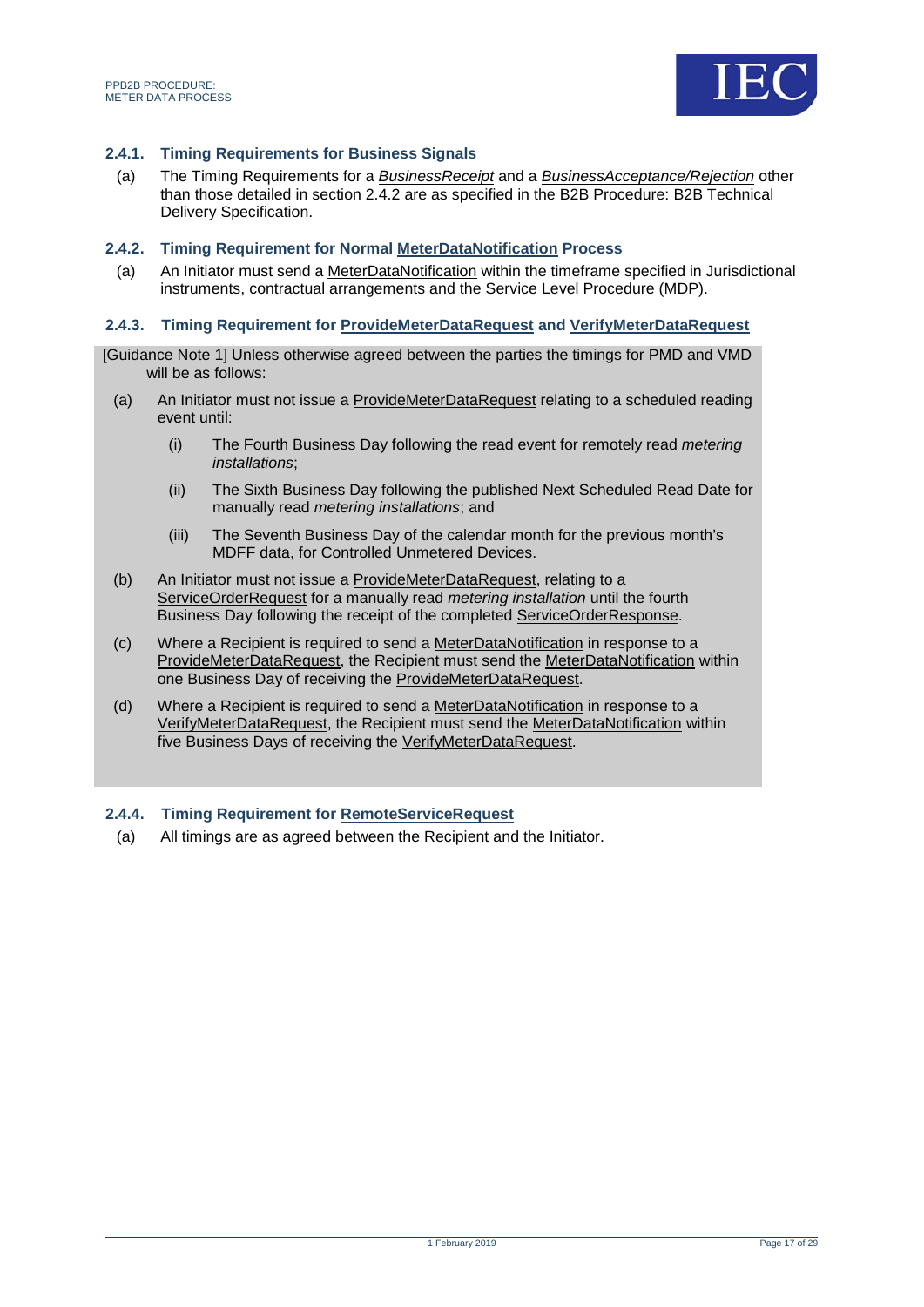

#### **2.4.1. Timing Requirements for Business Signals**

(a) The Timing Requirements for a *BusinessReceipt* and a *BusinessAcceptance/Rejection* other than those detailed in section [2.4.2](#page-16-0) are as specified in the B2B Procedure: B2B Technical Delivery Specification.

#### <span id="page-16-0"></span>**2.4.2. Timing Requirement for Normal MeterDataNotification Process**

(a) An Initiator must send a MeterDataNotification within the timeframe specified in Jurisdictional instruments, contractual arrangements and the Service Level Procedure (MDP).

#### **2.4.3. Timing Requirement for ProvideMeterDataRequest and VerifyMeterDataRequest**

[Guidance Note 1] Unless otherwise agreed between the parties the timings for PMD and VMD will be as follows:

- (a) An Initiator must not issue a ProvideMeterDataRequest relating to a scheduled reading event until:
	- (i) The Fourth Business Day following the read event for remotely read *metering installations*;
	- (ii) The Sixth Business Day following the published Next Scheduled Read Date for manually read *metering installations*; and
	- (iii) The Seventh Business Day of the calendar month for the previous month's MDFF data, for Controlled Unmetered Devices.
- (b) An Initiator must not issue a ProvideMeterDataRequest, relating to a ServiceOrderRequest for a manually read *metering installation* until the fourth Business Day following the receipt of the completed ServiceOrderResponse.
- (c) Where a Recipient is required to send a MeterDataNotification in response to a ProvideMeterDataRequest, the Recipient must send the MeterDataNotification within one Business Day of receiving the ProvideMeterDataRequest.
- (d) Where a Recipient is required to send a MeterDataNotification in response to a VerifyMeterDataRequest, the Recipient must send the MeterDataNotification within five Business Days of receiving the VerifyMeterDataRequest.

#### **2.4.4. Timing Requirement for RemoteServiceRequest**

(a) All timings are as agreed between the Recipient and the Initiator.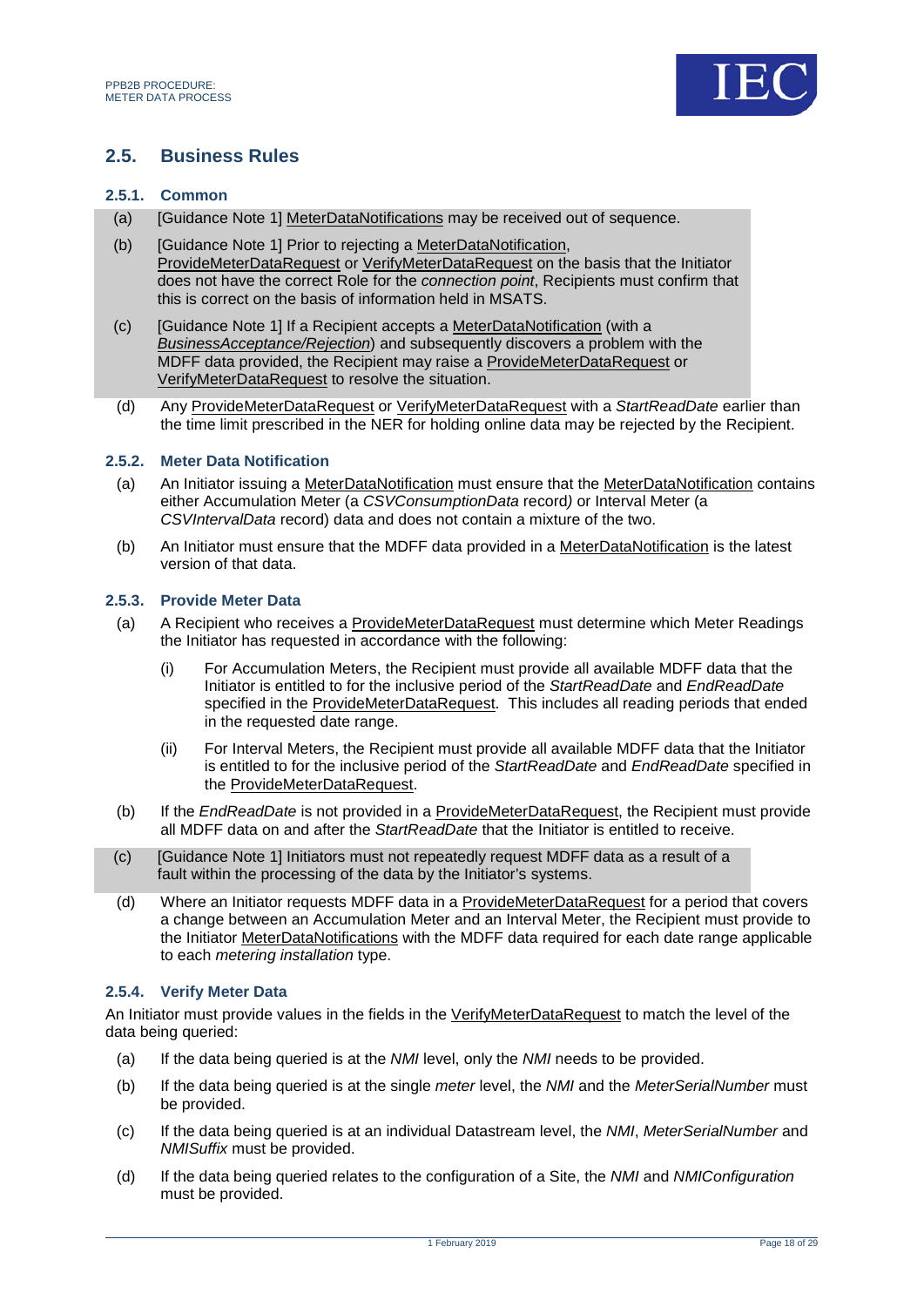

## <span id="page-17-0"></span>**2.5. Business Rules**

#### **2.5.1. Common**

- (a) [Guidance Note 1] MeterDataNotifications may be received out of sequence.
- (b) [Guidance Note 1] Prior to rejecting a MeterDataNotification, ProvideMeterDataRequest or VerifyMeterDataRequest on the basis that the Initiator does not have the correct Role for the *connection point*, Recipients must confirm that this is correct on the basis of information held in MSATS.
- (c) [Guidance Note 1] If a Recipient accepts a MeterDataNotification (with a *BusinessAcceptance/Rejection*) and subsequently discovers a problem with the MDFF data provided, the Recipient may raise a ProvideMeterDataRequest or VerifyMeterDataRequest to resolve the situation.
- (d) Any ProvideMeterDataRequest or VerifyMeterDataRequest with a *StartReadDate* earlier than the time limit prescribed in the NER for holding online data may be rejected by the Recipient.

#### **2.5.2. Meter Data Notification**

- (a) An Initiator issuing a MeterDataNotification must ensure that the MeterDataNotification contains either Accumulation Meter (a *CSVConsumptionData* record*)* or Interval Meter (a *CSVIntervalData* record) data and does not contain a mixture of the two.
- (b) An Initiator must ensure that the MDFF data provided in a MeterDataNotification is the latest version of that data.

#### **2.5.3. Provide Meter Data**

- (a) A Recipient who receives a ProvideMeterDataRequest must determine which Meter Readings the Initiator has requested in accordance with the following:
	- (i) For Accumulation Meters, the Recipient must provide all available MDFF data that the Initiator is entitled to for the inclusive period of the *StartReadDate* and *EndReadDate* specified in the ProvideMeterDataRequest. This includes all reading periods that ended in the requested date range.
	- (ii) For Interval Meters, the Recipient must provide all available MDFF data that the Initiator is entitled to for the inclusive period of the *StartReadDate* and *EndReadDate* specified in the ProvideMeterDataRequest.
- (b) If the *EndReadDate* is not provided in a ProvideMeterDataRequest, the Recipient must provide all MDFF data on and after the *StartReadDate* that the Initiator is entitled to receive.
- (c) [Guidance Note 1] Initiators must not repeatedly request MDFF data as a result of a fault within the processing of the data by the Initiator's systems.
- (d) Where an Initiator requests MDFF data in a ProvideMeterDataRequest for a period that covers a change between an Accumulation Meter and an Interval Meter, the Recipient must provide to the Initiator MeterDataNotifications with the MDFF data required for each date range applicable to each *metering installation* type.

#### **2.5.4. Verify Meter Data**

An Initiator must provide values in the fields in the VerifyMeterDataRequest to match the level of the data being queried:

- (a) If the data being queried is at the *NMI* level, only the *NMI* needs to be provided.
- (b) If the data being queried is at the single *meter* level, the *NMI* and the *MeterSerialNumber* must be provided.
- (c) If the data being queried is at an individual Datastream level, the *NMI*, *MeterSerialNumber* and *NMISuffix* must be provided.
- (d) If the data being queried relates to the configuration of a Site, the *NMI* and *NMIConfiguration* must be provided.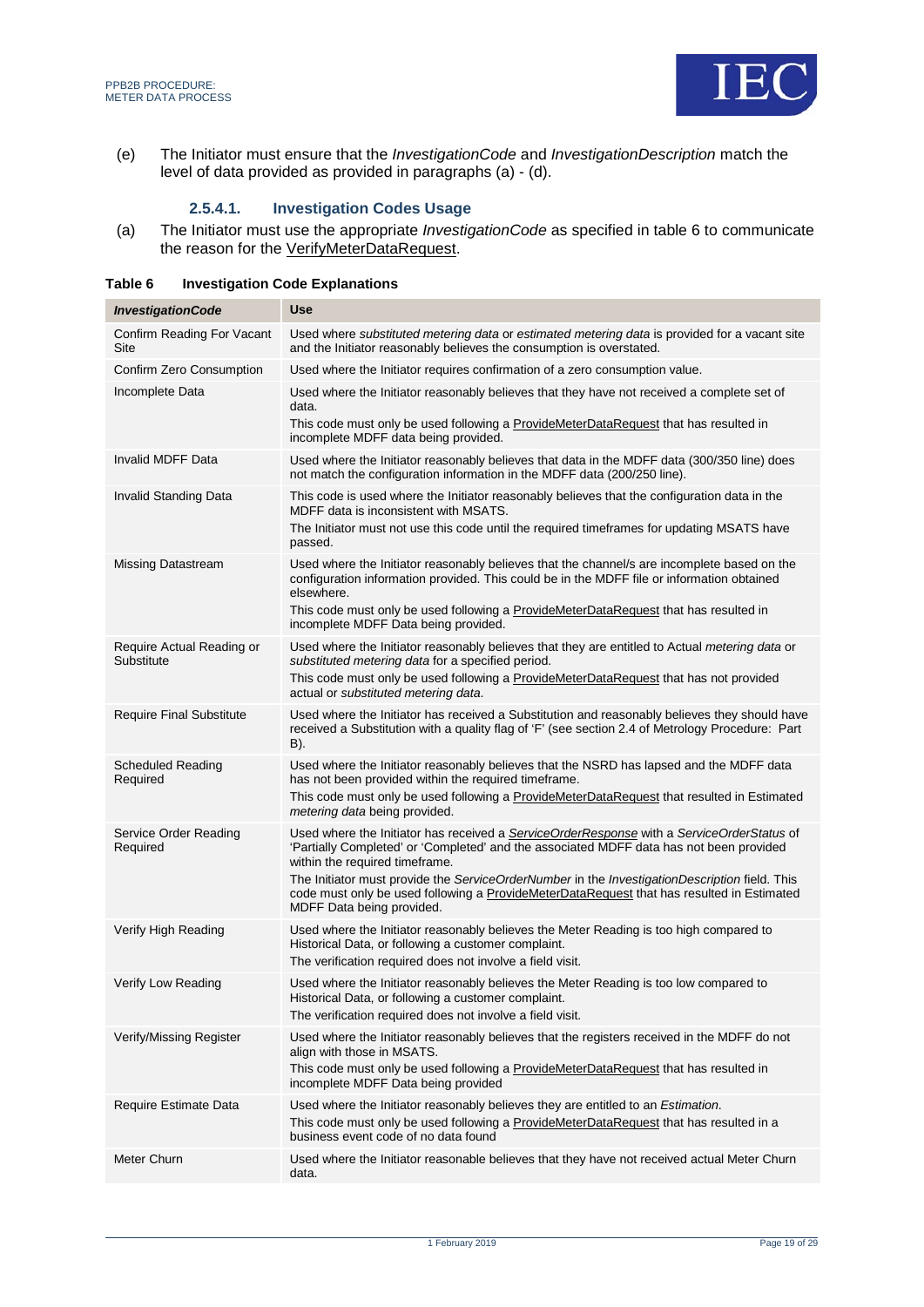

(e) The Initiator must ensure that the *InvestigationCode* and *InvestigationDescription* match the level of data provided as provided in paragraphs (a) - (d).

#### **2.5.4.1. Investigation Codes Usage**

(a) The Initiator must use the appropriate *InvestigationCode* as specified in table 6 to communicate the reason for the VerifyMeterDataRequest.

<span id="page-18-0"></span>

| Table 6 | <b>Investigation Code Explanations</b> |  |
|---------|----------------------------------------|--|
|         |                                        |  |

| <b>InvestigationCode</b>                | <b>Use</b>                                                                                                                                                                                                                                                                                      |
|-----------------------------------------|-------------------------------------------------------------------------------------------------------------------------------------------------------------------------------------------------------------------------------------------------------------------------------------------------|
| Confirm Reading For Vacant<br>Site      | Used where substituted metering data or estimated metering data is provided for a vacant site<br>and the Initiator reasonably believes the consumption is overstated.                                                                                                                           |
| Confirm Zero Consumption                | Used where the Initiator requires confirmation of a zero consumption value.                                                                                                                                                                                                                     |
| Incomplete Data                         | Used where the Initiator reasonably believes that they have not received a complete set of<br>data.                                                                                                                                                                                             |
|                                         | This code must only be used following a <b>ProvideMeterDataRequest</b> that has resulted in<br>incomplete MDFF data being provided.                                                                                                                                                             |
| Invalid MDFF Data                       | Used where the Initiator reasonably believes that data in the MDFF data (300/350 line) does<br>not match the configuration information in the MDFF data (200/250 line).                                                                                                                         |
| <b>Invalid Standing Data</b>            | This code is used where the Initiator reasonably believes that the configuration data in the<br>MDFF data is inconsistent with MSATS.<br>The Initiator must not use this code until the required timeframes for updating MSATS have<br>passed.                                                  |
| Missing Datastream                      | Used where the Initiator reasonably believes that the channel/s are incomplete based on the<br>configuration information provided. This could be in the MDFF file or information obtained<br>elsewhere.<br>This code must only be used following a ProvideMeterDataRequest that has resulted in |
|                                         | incomplete MDFF Data being provided.                                                                                                                                                                                                                                                            |
| Require Actual Reading or<br>Substitute | Used where the Initiator reasonably believes that they are entitled to Actual metering data or<br>substituted metering data for a specified period.                                                                                                                                             |
|                                         | This code must only be used following a <b>ProvideMeterDataRequest</b> that has not provided<br>actual or substituted metering data.                                                                                                                                                            |
| <b>Require Final Substitute</b>         | Used where the Initiator has received a Substitution and reasonably believes they should have<br>received a Substitution with a quality flag of 'F' (see section 2.4 of Metrology Procedure: Part<br>B).                                                                                        |
| Scheduled Reading<br>Required           | Used where the Initiator reasonably believes that the NSRD has lapsed and the MDFF data<br>has not been provided within the required timeframe.                                                                                                                                                 |
|                                         | This code must only be used following a ProvideMeterDataRequest that resulted in Estimated<br>metering data being provided.                                                                                                                                                                     |
| Service Order Reading<br>Required       | Used where the Initiator has received a ServiceOrderResponse with a ServiceOrderStatus of<br>'Partially Completed' or 'Completed' and the associated MDFF data has not been provided<br>within the required timeframe.                                                                          |
|                                         | The Initiator must provide the ServiceOrderNumber in the InvestigationDescription field. This<br>code must only be used following a ProvideMeterDataRequest that has resulted in Estimated<br>MDFF Data being provided.                                                                         |
| Verify High Reading                     | Used where the Initiator reasonably believes the Meter Reading is too high compared to<br>Historical Data, or following a customer complaint.                                                                                                                                                   |
|                                         | The verification required does not involve a field visit.                                                                                                                                                                                                                                       |
| Verify Low Reading                      | Used where the Initiator reasonably believes the Meter Reading is too low compared to<br>Historical Data, or following a customer complaint.<br>The verification required does not involve a field visit.                                                                                       |
| Verify/Missing Register                 | Used where the Initiator reasonably believes that the registers received in the MDFF do not                                                                                                                                                                                                     |
|                                         | align with those in MSATS.<br>This code must only be used following a ProvideMeterDataRequest that has resulted in                                                                                                                                                                              |
|                                         | incomplete MDFF Data being provided                                                                                                                                                                                                                                                             |
| Require Estimate Data                   | Used where the Initiator reasonably believes they are entitled to an <i>Estimation</i> .                                                                                                                                                                                                        |
|                                         | This code must only be used following a ProvideMeterDataRequest that has resulted in a<br>business event code of no data found                                                                                                                                                                  |
| Meter Churn                             | Used where the Initiator reasonable believes that they have not received actual Meter Churn<br>data.                                                                                                                                                                                            |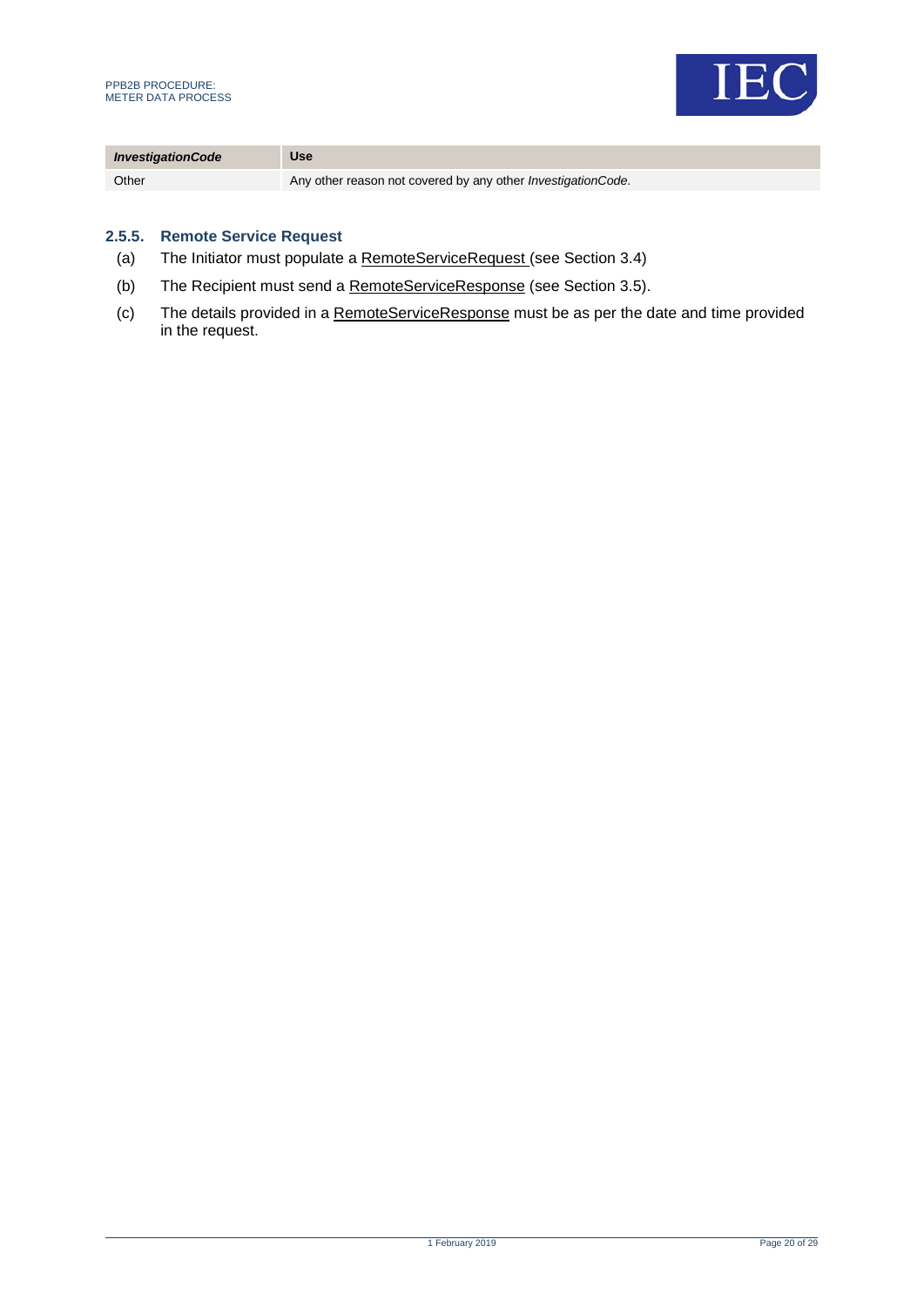

| <i><b>InvestigationCode</b></i> | <b>Use</b>                                                           |
|---------------------------------|----------------------------------------------------------------------|
| Other                           | Any other reason not covered by any other <i>InvestigationCode</i> . |

#### **2.5.5. Remote Service Request**

- (a) The Initiator must populate a RemoteServiceRequest (see Section 3.4)
- (b) The Recipient must send a RemoteServiceResponse (see Section 3.5).
- (c) The details provided in a RemoteServiceResponse must be as per the date and time provided in the request.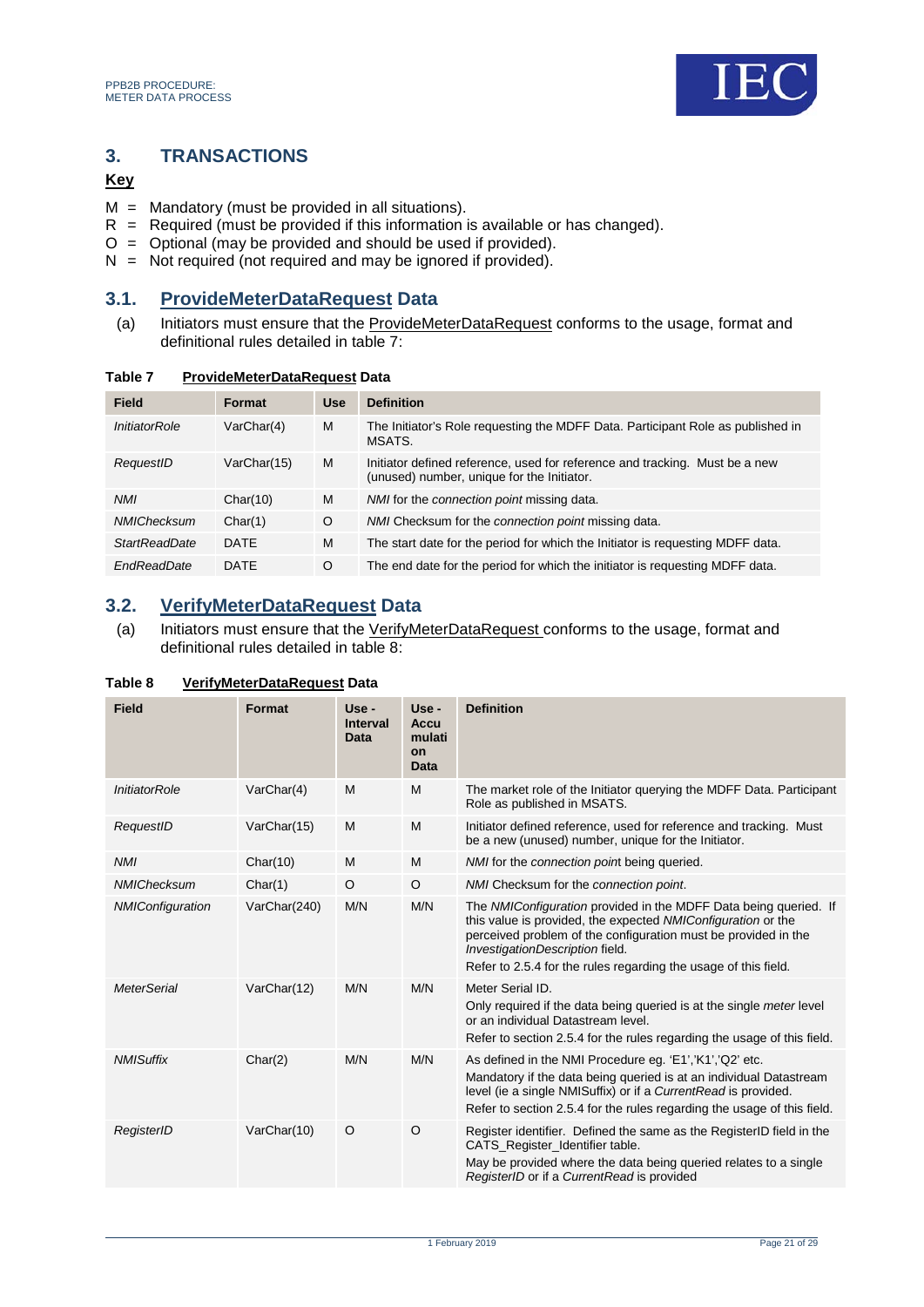

## <span id="page-20-0"></span>**3. TRANSACTIONS**

## **Key**

- $M =$  Mandatory (must be provided in all situations).
- $R$  = Required (must be provided if this information is available or has changed).
- $O =$  Optional (may be provided and should be used if provided).
- $N = Not required (not required and may be ignored if provided).$

## <span id="page-20-1"></span>**3.1. ProvideMeterDataRequest Data**

(a) Initiators must ensure that the ProvideMeterDataRequest conforms to the usage, format and definitional rules detailed in table 7:

#### <span id="page-20-3"></span>**Table 7 ProvideMeterDataRequest Data**

| <b>Field</b>         | <b>Format</b> | <b>Use</b> | <b>Definition</b>                                                                                                         |
|----------------------|---------------|------------|---------------------------------------------------------------------------------------------------------------------------|
| InitiatorRole        | VarChar(4)    | M          | The Initiator's Role requesting the MDFF Data. Participant Role as published in<br>MSATS.                                 |
| RequestID            | VarChar(15)   | M          | Initiator defined reference, used for reference and tracking. Must be a new<br>(unused) number, unique for the Initiator. |
| <b>NMI</b>           | Char(10)      | M          | NMI for the connection point missing data.                                                                                |
| <b>NMIChecksum</b>   | Char(1)       | O          | NMI Checksum for the connection point missing data.                                                                       |
| <b>StartReadDate</b> | <b>DATE</b>   | M          | The start date for the period for which the Initiator is requesting MDFF data.                                            |
| EndReadDate          | <b>DATE</b>   | O          | The end date for the period for which the initiator is requesting MDFF data.                                              |

## <span id="page-20-2"></span>**3.2. VerifyMeterDataRequest Data**

(a) Initiators must ensure that the VerifyMeterDataRequest conforms to the usage, format and definitional rules detailed in table 8:

| Field                       | <b>Format</b> | Use -<br><b>Interval</b><br>Data | Use -<br>Accu<br>mulati<br>on<br>Data | <b>Definition</b>                                                                                                                                                                                                                                                                                        |
|-----------------------------|---------------|----------------------------------|---------------------------------------|----------------------------------------------------------------------------------------------------------------------------------------------------------------------------------------------------------------------------------------------------------------------------------------------------------|
| <i><b>InitiatorRole</b></i> | VarChar(4)    | M                                | M                                     | The market role of the Initiator querying the MDFF Data. Participant<br>Role as published in MSATS.                                                                                                                                                                                                      |
| RequestID                   | VarChar(15)   | M                                | M                                     | Initiator defined reference, used for reference and tracking. Must<br>be a new (unused) number, unique for the Initiator.                                                                                                                                                                                |
| <b>NMI</b>                  | Char(10)      | M                                | M                                     | NMI for the connection point being queried.                                                                                                                                                                                                                                                              |
| <b>NMIChecksum</b>          | Char(1)       | O                                | $\circ$                               | NMI Checksum for the connection point.                                                                                                                                                                                                                                                                   |
| NMIConfiguration            | VarChar(240)  | M/N                              | M/N                                   | The NMIConfiguration provided in the MDFF Data being queried. If<br>this value is provided, the expected NMIConfiguration or the<br>perceived problem of the configuration must be provided in the<br>InvestigationDescription field.<br>Refer to 2.5.4 for the rules regarding the usage of this field. |
| <b>MeterSerial</b>          | VarChar(12)   | M/N                              | M/N                                   | Meter Serial ID.<br>Only required if the data being queried is at the single meter level<br>or an individual Datastream level.<br>Refer to section 2.5.4 for the rules regarding the usage of this field.                                                                                                |
| <b>NMISuffix</b>            | Char(2)       | M/N                              | M/N                                   | As defined in the NMI Procedure eq. 'E1','K1','Q2' etc.<br>Mandatory if the data being queried is at an individual Datastream<br>level (ie a single NMISuffix) or if a CurrentRead is provided.<br>Refer to section 2.5.4 for the rules regarding the usage of this field.                               |
| RegisterID                  | VarChar(10)   | $\circ$                          | $\circ$                               | Register identifier. Defined the same as the RegisterID field in the<br>CATS Register Identifier table.<br>May be provided where the data being queried relates to a single<br>RegisterID or if a CurrentRead is provided                                                                                |

#### <span id="page-20-4"></span>**Table 8 VerifyMeterDataRequest Data**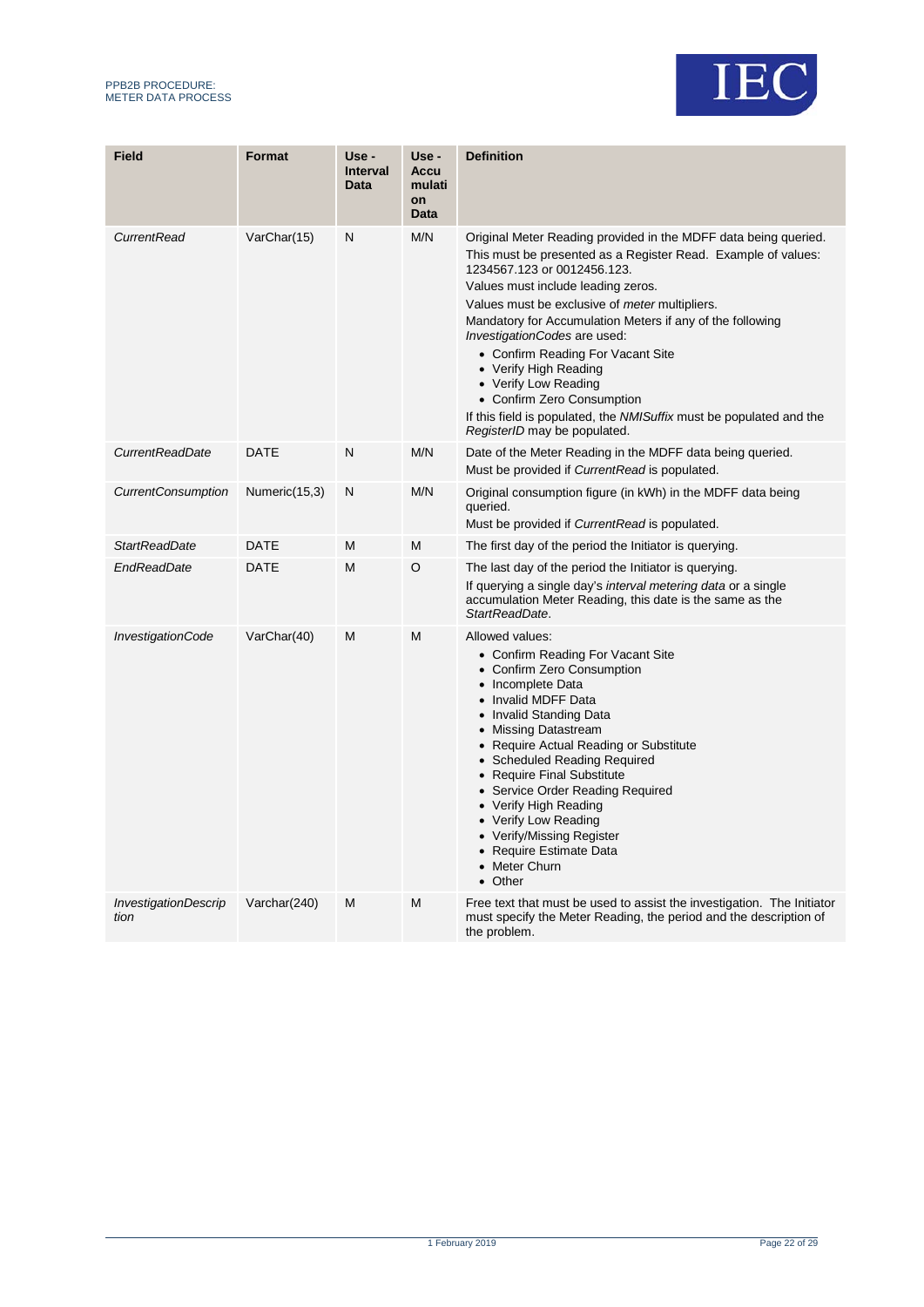

| <b>Field</b>                        | <b>Format</b> | Use -<br><b>Interval</b><br>Data | Use -<br>Accu<br>mulati<br>on<br><b>Data</b> | <b>Definition</b>                                                                                                                                                                                                                                                                                                                                                                                                                                                                                                                                                               |
|-------------------------------------|---------------|----------------------------------|----------------------------------------------|---------------------------------------------------------------------------------------------------------------------------------------------------------------------------------------------------------------------------------------------------------------------------------------------------------------------------------------------------------------------------------------------------------------------------------------------------------------------------------------------------------------------------------------------------------------------------------|
| CurrentRead                         | VarChar(15)   | N                                | M/N                                          | Original Meter Reading provided in the MDFF data being queried.<br>This must be presented as a Register Read. Example of values:<br>1234567.123 or 0012456.123.<br>Values must include leading zeros.<br>Values must be exclusive of meter multipliers.<br>Mandatory for Accumulation Meters if any of the following<br>InvestigationCodes are used:<br>• Confirm Reading For Vacant Site<br>• Verify High Reading<br>• Verify Low Reading<br>• Confirm Zero Consumption<br>If this field is populated, the NMISuffix must be populated and the<br>RegisterID may be populated. |
| <b>CurrentReadDate</b>              | <b>DATE</b>   | N                                | M/N                                          | Date of the Meter Reading in the MDFF data being queried.<br>Must be provided if CurrentRead is populated.                                                                                                                                                                                                                                                                                                                                                                                                                                                                      |
| <b>CurrentConsumption</b>           | Numeric(15,3) | N                                | M/N                                          | Original consumption figure (in kWh) in the MDFF data being<br>queried.<br>Must be provided if <i>CurrentRead</i> is populated.                                                                                                                                                                                                                                                                                                                                                                                                                                                 |
| <b>StartReadDate</b>                | DATE          | M                                | M                                            | The first day of the period the Initiator is querying.                                                                                                                                                                                                                                                                                                                                                                                                                                                                                                                          |
| EndReadDate                         | DATE          | M                                | O                                            | The last day of the period the Initiator is querying.<br>If querying a single day's <i>interval metering data</i> or a single<br>accumulation Meter Reading, this date is the same as the<br>StartReadDate.                                                                                                                                                                                                                                                                                                                                                                     |
| <b>InvestigationCode</b>            | VarChar(40)   | M                                | M                                            | Allowed values:<br>• Confirm Reading For Vacant Site<br>• Confirm Zero Consumption<br>• Incomplete Data<br>• Invalid MDFF Data<br>• Invalid Standing Data<br>• Missing Datastream<br>• Require Actual Reading or Substitute<br>• Scheduled Reading Required<br>• Require Final Substitute<br>• Service Order Reading Required<br>• Verify High Reading<br>• Verify Low Reading<br>• Verify/Missing Register<br>• Require Estimate Data<br>• Meter Churn<br>• Other                                                                                                              |
| <b>InvestigationDescrip</b><br>tion | Varchar(240)  | M                                | м                                            | Free text that must be used to assist the investigation. The Initiator<br>must specify the Meter Reading, the period and the description of<br>the problem.                                                                                                                                                                                                                                                                                                                                                                                                                     |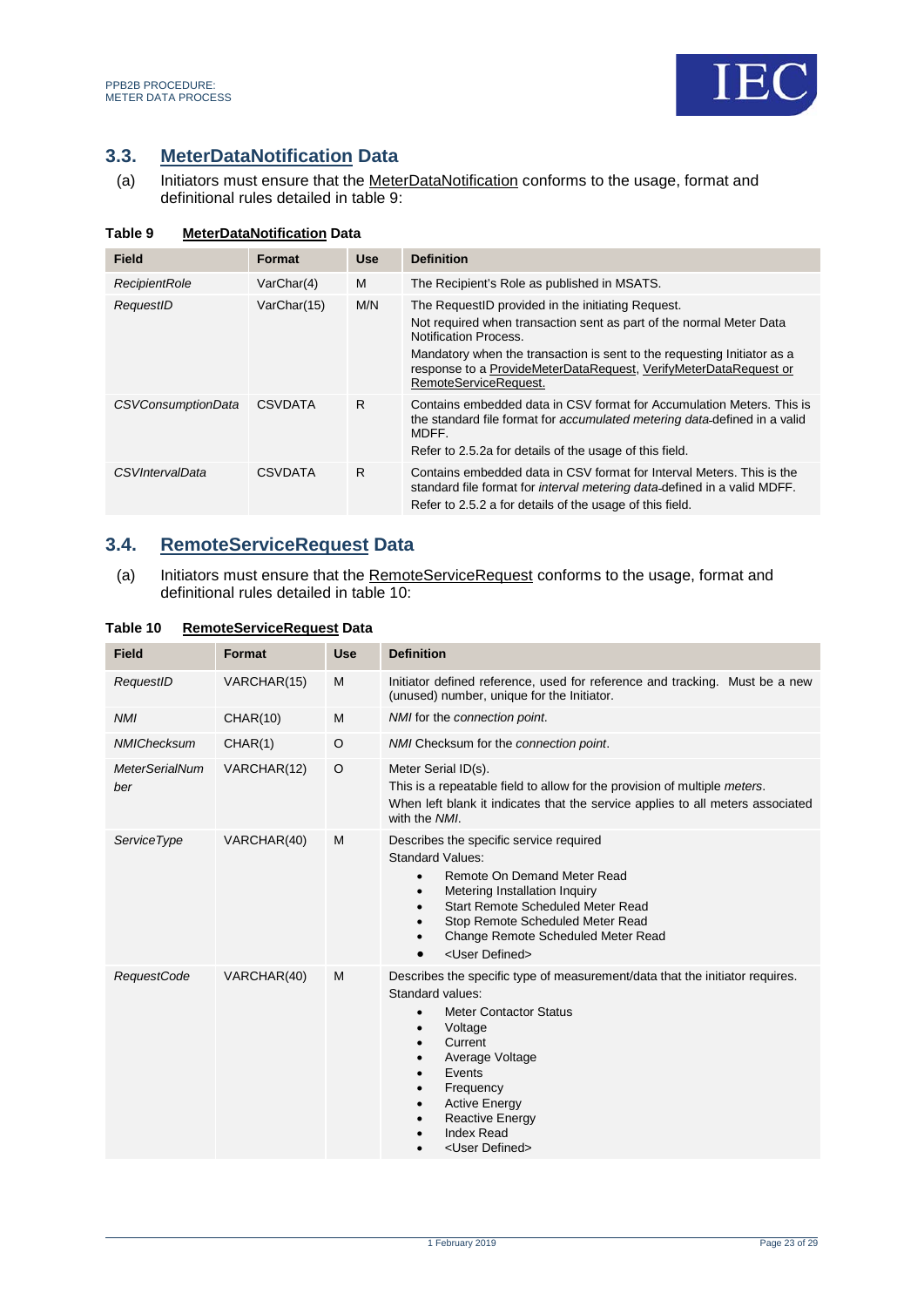

## <span id="page-22-0"></span>**3.3. MeterDataNotification Data**

(a) Initiators must ensure that the MeterDataNotification conforms to the usage, format and definitional rules detailed in table 9:

| <b>Field</b>              | Format         | <b>Use</b> | <b>Definition</b>                                                                                                                                                                                                                                                                                                         |  |  |
|---------------------------|----------------|------------|---------------------------------------------------------------------------------------------------------------------------------------------------------------------------------------------------------------------------------------------------------------------------------------------------------------------------|--|--|
| RecipientRole             | VarChar(4)     | M          | The Recipient's Role as published in MSATS.                                                                                                                                                                                                                                                                               |  |  |
| RequestID                 | VarChar(15)    | M/N        | The RequestID provided in the initiating Request.<br>Not required when transaction sent as part of the normal Meter Data<br>Notification Process.<br>Mandatory when the transaction is sent to the requesting Initiator as a<br>response to a ProvideMeterDataRequest, VerifyMeterDataRequest or<br>RemoteServiceRequest. |  |  |
| <b>CSVConsumptionData</b> | <b>CSVDATA</b> | R.         | Contains embedded data in CSV format for Accumulation Meters. This is<br>the standard file format for <i>accumulated metering data</i> -defined in a valid<br>MDFF.<br>Refer to 2.5.2a for details of the usage of this field.                                                                                            |  |  |
| <b>CSVIntervalData</b>    | <b>CSVDATA</b> | R          | Contains embedded data in CSV format for Interval Meters. This is the<br>standard file format for <i>interval metering data</i> -defined in a valid MDFF.<br>Refer to 2.5.2 a for details of the usage of this field.                                                                                                     |  |  |

#### <span id="page-22-2"></span>**Table 9 MeterDataNotification Data**

## <span id="page-22-1"></span>**3.4. RemoteServiceRequest Data**

(a) Initiators must ensure that the RemoteServiceRequest conforms to the usage, format and definitional rules detailed in table 10:

<span id="page-22-3"></span>**Table 10 RemoteServiceRequest Data**

| <b>Field</b>                 | Format          | <b>Use</b> | <b>Definition</b>                                                                                                                                                                                                                                                                                              |
|------------------------------|-----------------|------------|----------------------------------------------------------------------------------------------------------------------------------------------------------------------------------------------------------------------------------------------------------------------------------------------------------------|
| RequestID                    | VARCHAR(15)     | M          | Initiator defined reference, used for reference and tracking. Must be a new<br>(unused) number, unique for the Initiator.                                                                                                                                                                                      |
| <b>NMI</b>                   | <b>CHAR(10)</b> | M          | NMI for the connection point.                                                                                                                                                                                                                                                                                  |
| <b>NMIChecksum</b>           | CHAR(1)         | $\circ$    | NMI Checksum for the connection point.                                                                                                                                                                                                                                                                         |
| <b>MeterSerialNum</b><br>ber | VARCHAR(12)     | $\circ$    | Meter Serial ID(s).<br>This is a repeatable field to allow for the provision of multiple meters.<br>When left blank it indicates that the service applies to all meters associated<br>with the NMI.                                                                                                            |
| <b>ServiceType</b>           | VARCHAR(40)     | M          | Describes the specific service required<br><b>Standard Values:</b><br>Remote On Demand Meter Read<br>$\bullet$<br>Metering Installation Inquiry<br>$\bullet$<br><b>Start Remote Scheduled Meter Read</b><br>Stop Remote Scheduled Meter Read<br>Change Remote Scheduled Meter Read<br><user defined=""></user> |
| <b>RequestCode</b>           | VARCHAR(40)     | M          | Describes the specific type of measurement/data that the initiator requires.<br>Standard values:<br><b>Meter Contactor Status</b><br>Voltage<br>Current<br>Average Voltage<br>Events<br>Frequency<br><b>Active Energy</b><br><b>Reactive Energy</b><br><b>Index Read</b><br><user defined=""></user>           |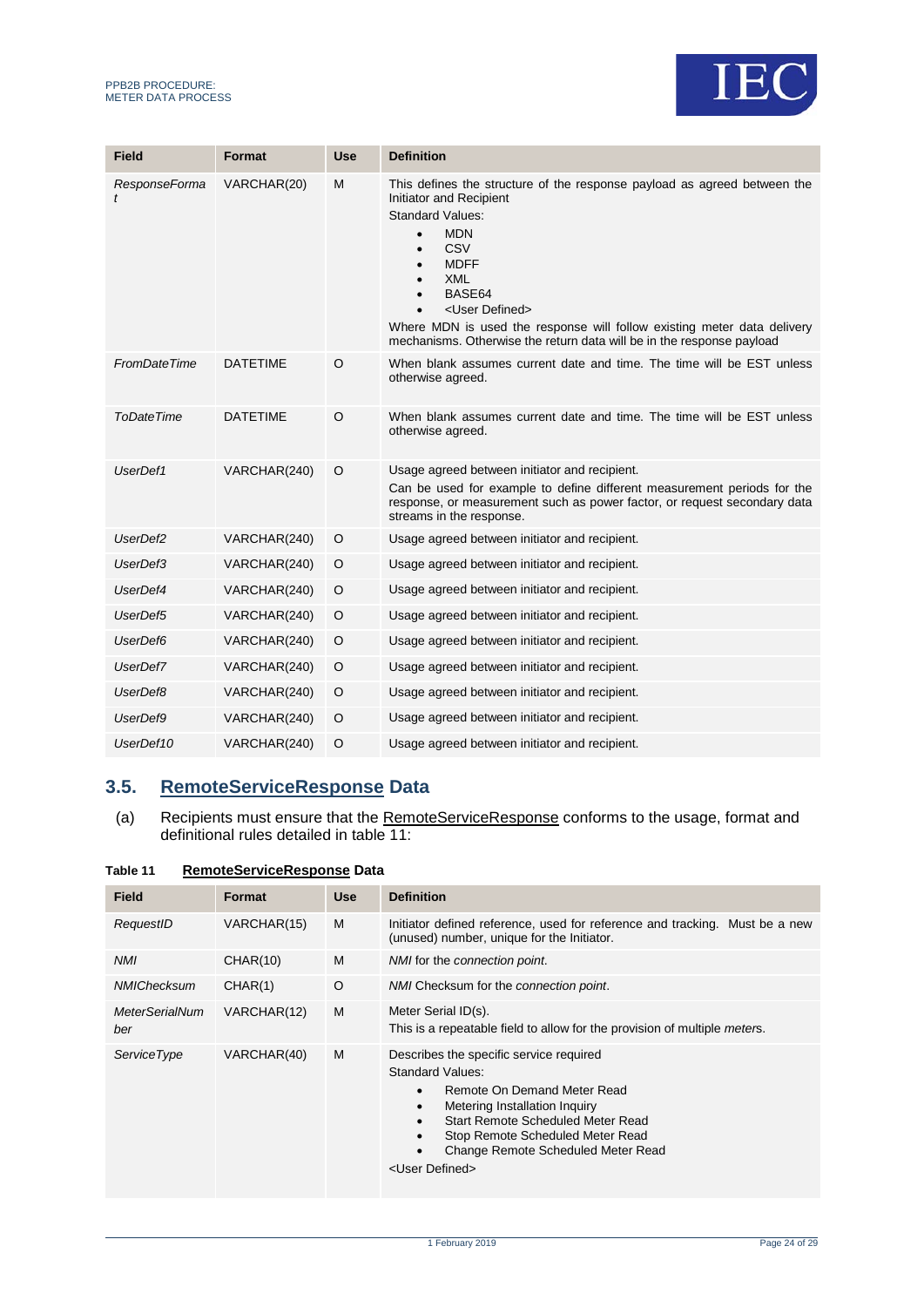

| <b>Field</b>         | Format          | <b>Use</b> | <b>Definition</b>                                                                                                                                                                                                                                                                                                                                                            |
|----------------------|-----------------|------------|------------------------------------------------------------------------------------------------------------------------------------------------------------------------------------------------------------------------------------------------------------------------------------------------------------------------------------------------------------------------------|
| <b>ResponseForma</b> | VARCHAR(20)     | M          | This defines the structure of the response payload as agreed between the<br>Initiator and Recipient<br><b>Standard Values:</b><br><b>MDN</b><br>CSV<br><b>MDFF</b><br><b>XML</b><br>BASE64<br><user defined=""><br/>Where MDN is used the response will follow existing meter data delivery<br/>mechanisms. Otherwise the return data will be in the response payload</user> |
| <b>FromDateTime</b>  | <b>DATETIME</b> | $\circ$    | When blank assumes current date and time. The time will be EST unless<br>otherwise agreed.                                                                                                                                                                                                                                                                                   |
| <b>ToDateTime</b>    | <b>DATETIME</b> | $\Omega$   | When blank assumes current date and time. The time will be EST unless<br>otherwise agreed.                                                                                                                                                                                                                                                                                   |
| UserDef1             | VARCHAR(240)    | O          | Usage agreed between initiator and recipient.<br>Can be used for example to define different measurement periods for the<br>response, or measurement such as power factor, or request secondary data<br>streams in the response.                                                                                                                                             |
| UserDef <sub>2</sub> | VARCHAR(240)    | $\circ$    | Usage agreed between initiator and recipient.                                                                                                                                                                                                                                                                                                                                |
| UserDef3             | VARCHAR(240)    | O          | Usage agreed between initiator and recipient.                                                                                                                                                                                                                                                                                                                                |
| UserDef4             | VARCHAR(240)    | $\circ$    | Usage agreed between initiator and recipient.                                                                                                                                                                                                                                                                                                                                |
| UserDef5             | VARCHAR(240)    | $\circ$    | Usage agreed between initiator and recipient.                                                                                                                                                                                                                                                                                                                                |
| UserDef6             | VARCHAR(240)    | $\circ$    | Usage agreed between initiator and recipient.                                                                                                                                                                                                                                                                                                                                |
| UserDef7             | VARCHAR(240)    | O          | Usage agreed between initiator and recipient.                                                                                                                                                                                                                                                                                                                                |
| UserDef8             | VARCHAR(240)    | O          | Usage agreed between initiator and recipient.                                                                                                                                                                                                                                                                                                                                |
| UserDef9             | VARCHAR(240)    | $\circ$    | Usage agreed between initiator and recipient.                                                                                                                                                                                                                                                                                                                                |
| UserDef10            | VARCHAR(240)    | $\circ$    | Usage agreed between initiator and recipient.                                                                                                                                                                                                                                                                                                                                |

## <span id="page-23-0"></span>**3.5. RemoteServiceResponse Data**

(a) Recipients must ensure that the RemoteServiceResponse conforms to the usage, format and definitional rules detailed in table 11:

| <b>Field</b>          | Format      | <b>Use</b> | <b>Definition</b>                                                                                                                                                                                                                                                                          |
|-----------------------|-------------|------------|--------------------------------------------------------------------------------------------------------------------------------------------------------------------------------------------------------------------------------------------------------------------------------------------|
| RequestID             | VARCHAR(15) | M          | Initiator defined reference, used for reference and tracking. Must be a new<br>(unused) number, unique for the Initiator.                                                                                                                                                                  |
| NMI.                  | CHAR(10)    | M          | NMI for the connection point.                                                                                                                                                                                                                                                              |
| <b>NMIChecksum</b>    | CHAR(1)     | O          | NMI Checksum for the connection point.                                                                                                                                                                                                                                                     |
| MeterSerialNum<br>ber | VARCHAR(12) | M          | Meter Serial ID(s).<br>This is a repeatable field to allow for the provision of multiple <i>meters</i> .                                                                                                                                                                                   |
| ServiceType           | VARCHAR(40) | M          | Describes the specific service required<br><b>Standard Values:</b><br>Remote On Demand Meter Read<br>$\bullet$<br>Metering Installation Inquiry<br>Start Remote Scheduled Meter Read<br>Stop Remote Scheduled Meter Read<br>Change Remote Scheduled Meter Read<br><user defined=""></user> |

## <span id="page-23-1"></span>**Table 11 RemoteServiceResponse Data**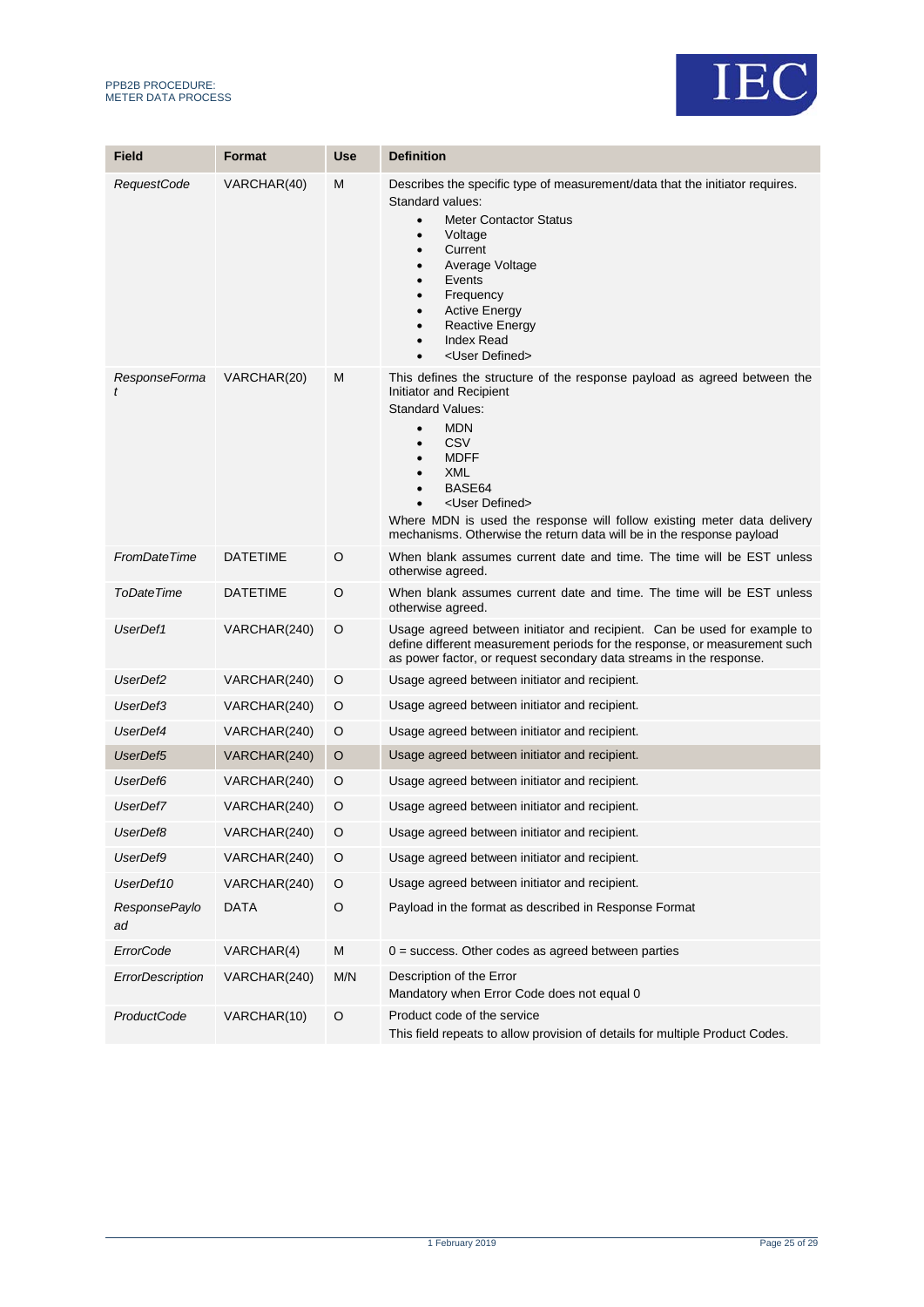

| <b>Field</b>         | Format          | <b>Use</b> | <b>Definition</b>                                                                                                                                                                                                                                                                                                                                                            |
|----------------------|-----------------|------------|------------------------------------------------------------------------------------------------------------------------------------------------------------------------------------------------------------------------------------------------------------------------------------------------------------------------------------------------------------------------------|
| RequestCode          | VARCHAR(40)     | M          | Describes the specific type of measurement/data that the initiator requires.<br>Standard values:<br><b>Meter Contactor Status</b><br>$\bullet$<br>Voltage<br>Current<br>Average Voltage<br>Events<br>Frequency<br><b>Active Energy</b><br><b>Reactive Energy</b><br><b>Index Read</b><br><user defined=""></user>                                                            |
| <b>ResponseForma</b> | VARCHAR(20)     | M          | This defines the structure of the response payload as agreed between the<br>Initiator and Recipient<br><b>Standard Values:</b><br><b>MDN</b><br>CSV<br><b>MDFF</b><br><b>XML</b><br>BASE64<br><user defined=""><br/>Where MDN is used the response will follow existing meter data delivery<br/>mechanisms. Otherwise the return data will be in the response payload</user> |
| <b>FromDateTime</b>  | <b>DATETIME</b> | $\circ$    | When blank assumes current date and time. The time will be EST unless<br>otherwise agreed.                                                                                                                                                                                                                                                                                   |
| <b>ToDateTime</b>    | <b>DATETIME</b> | O          | When blank assumes current date and time. The time will be EST unless<br>otherwise agreed.                                                                                                                                                                                                                                                                                   |
| UserDef1             | VARCHAR(240)    | O          | Usage agreed between initiator and recipient. Can be used for example to<br>define different measurement periods for the response, or measurement such<br>as power factor, or request secondary data streams in the response.                                                                                                                                                |
| UserDef2             | VARCHAR(240)    | O          | Usage agreed between initiator and recipient.                                                                                                                                                                                                                                                                                                                                |
| UserDef3             | VARCHAR(240)    | O          | Usage agreed between initiator and recipient.                                                                                                                                                                                                                                                                                                                                |
| UserDef4             | VARCHAR(240)    | O          | Usage agreed between initiator and recipient.                                                                                                                                                                                                                                                                                                                                |
| UserDef5             | VARCHAR(240)    | O          | Usage agreed between initiator and recipient.                                                                                                                                                                                                                                                                                                                                |
| UserDef6             | VARCHAR(240)    | O          | Usage agreed between initiator and recipient.                                                                                                                                                                                                                                                                                                                                |
| UserDef7             | VARCHAR(240)    | O          | Usage agreed between initiator and recipient.                                                                                                                                                                                                                                                                                                                                |
| UserDef8             | VARCHAR(240)    | O          | Usage agreed between initiator and recipient.                                                                                                                                                                                                                                                                                                                                |
| UserDef9             | VARCHAR(240)    | O          | Usage agreed between initiator and recipient.                                                                                                                                                                                                                                                                                                                                |
| UserDef10            | VARCHAR(240)    | $\circ$    | Usage agreed between initiator and recipient.                                                                                                                                                                                                                                                                                                                                |
| ResponsePaylo<br>ad  | DATA            | O          | Payload in the format as described in Response Format                                                                                                                                                                                                                                                                                                                        |
| ErrorCode            | VARCHAR(4)      | M          | $0 =$ success. Other codes as agreed between parties                                                                                                                                                                                                                                                                                                                         |
| ErrorDescription     | VARCHAR(240)    | M/N        | Description of the Error<br>Mandatory when Error Code does not equal 0                                                                                                                                                                                                                                                                                                       |
| ProductCode          | VARCHAR(10)     | $\circ$    | Product code of the service<br>This field repeats to allow provision of details for multiple Product Codes.                                                                                                                                                                                                                                                                  |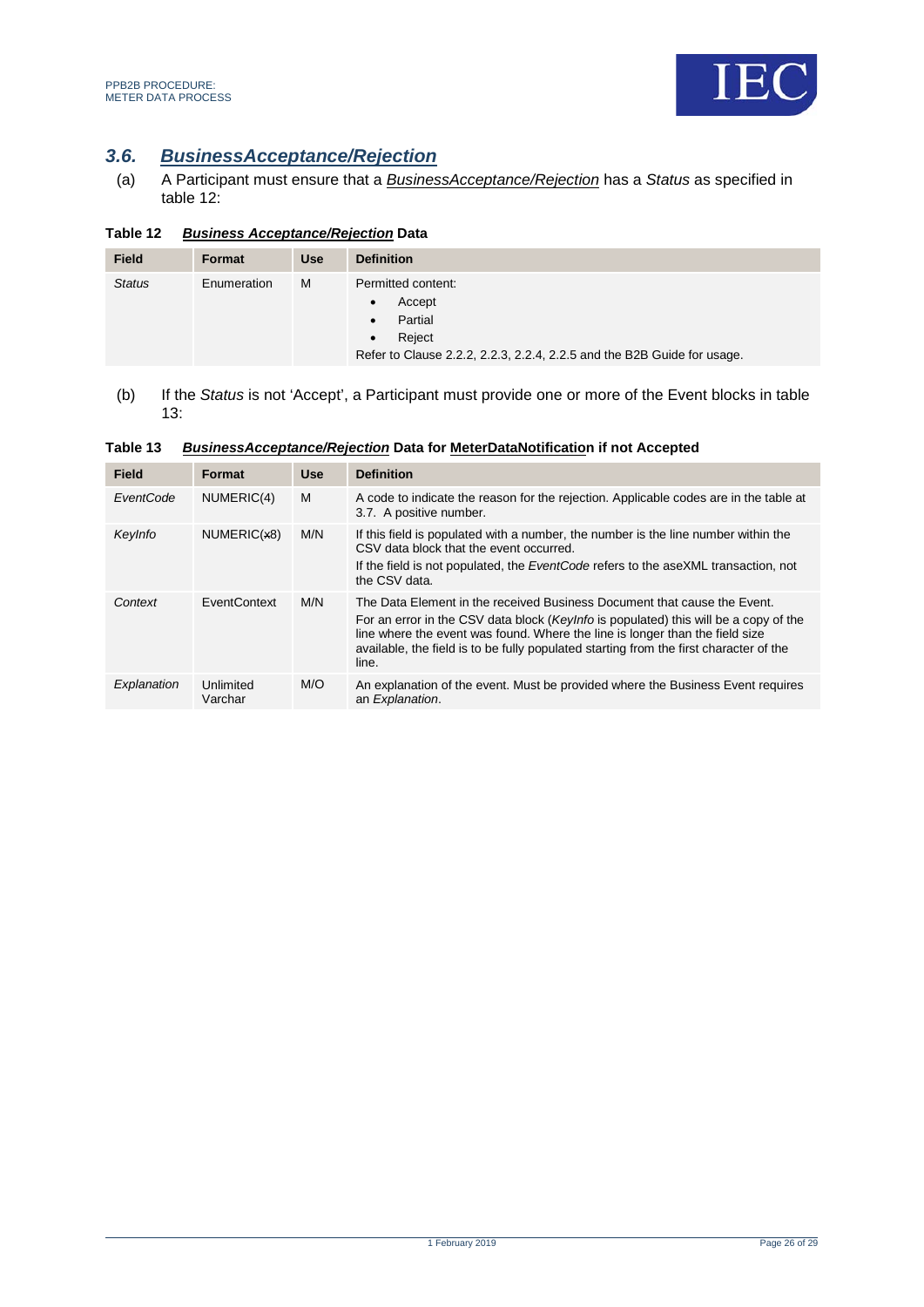

## <span id="page-25-0"></span>*3.6. BusinessAcceptance/Rejection*

(a) A Participant must ensure that a *BusinessAcceptance/Rejection* has a *Status* as specified in table 12:

| <b>Field</b>  | Format      | <b>Use</b> | <b>Definition</b>                                                                                                                                                   |
|---------------|-------------|------------|---------------------------------------------------------------------------------------------------------------------------------------------------------------------|
| <b>Status</b> | Enumeration | M          | Permitted content:<br>Accept<br>$\bullet$<br>Partial<br>$\bullet$<br>Reject<br>$\bullet$<br>Refer to Clause 2.2.2, 2.2.3, 2.2.4, 2.2.5 and the B2B Guide for usage. |

#### <span id="page-25-1"></span>**Table 12** *Business Acceptance/Rejection* **Data**

(b) If the *Status* is not 'Accept', a Participant must provide one or more of the Event blocks in table 13:

| <b>Field</b> | Format               | <b>Use</b> | <b>Definition</b>                                                                                                                                                                                                                                                                                                                                   |
|--------------|----------------------|------------|-----------------------------------------------------------------------------------------------------------------------------------------------------------------------------------------------------------------------------------------------------------------------------------------------------------------------------------------------------|
| EventCode    | NUMERIC(4)           | M          | A code to indicate the reason for the rejection. Applicable codes are in the table at<br>3.7. A positive number.                                                                                                                                                                                                                                    |
| Keylnfo      | NUMERIC(x8)          | M/N        | If this field is populated with a number, the number is the line number within the<br>CSV data block that the event occurred.<br>If the field is not populated, the EventCode refers to the aseXML transaction, not<br>the CSV data.                                                                                                                |
| Context      | EventContext         | M/N        | The Data Element in the received Business Document that cause the Event.<br>For an error in the CSV data block (Keylnfo is populated) this will be a copy of the<br>line where the event was found. Where the line is longer than the field size<br>available, the field is to be fully populated starting from the first character of the<br>line. |
| Explanation  | Unlimited<br>Varchar | M/O        | An explanation of the event. Must be provided where the Business Event requires<br>an Explanation.                                                                                                                                                                                                                                                  |

#### <span id="page-25-2"></span>**Table 13** *BusinessAcceptance/Rejection* **Data for MeterDataNotification if not Accepted**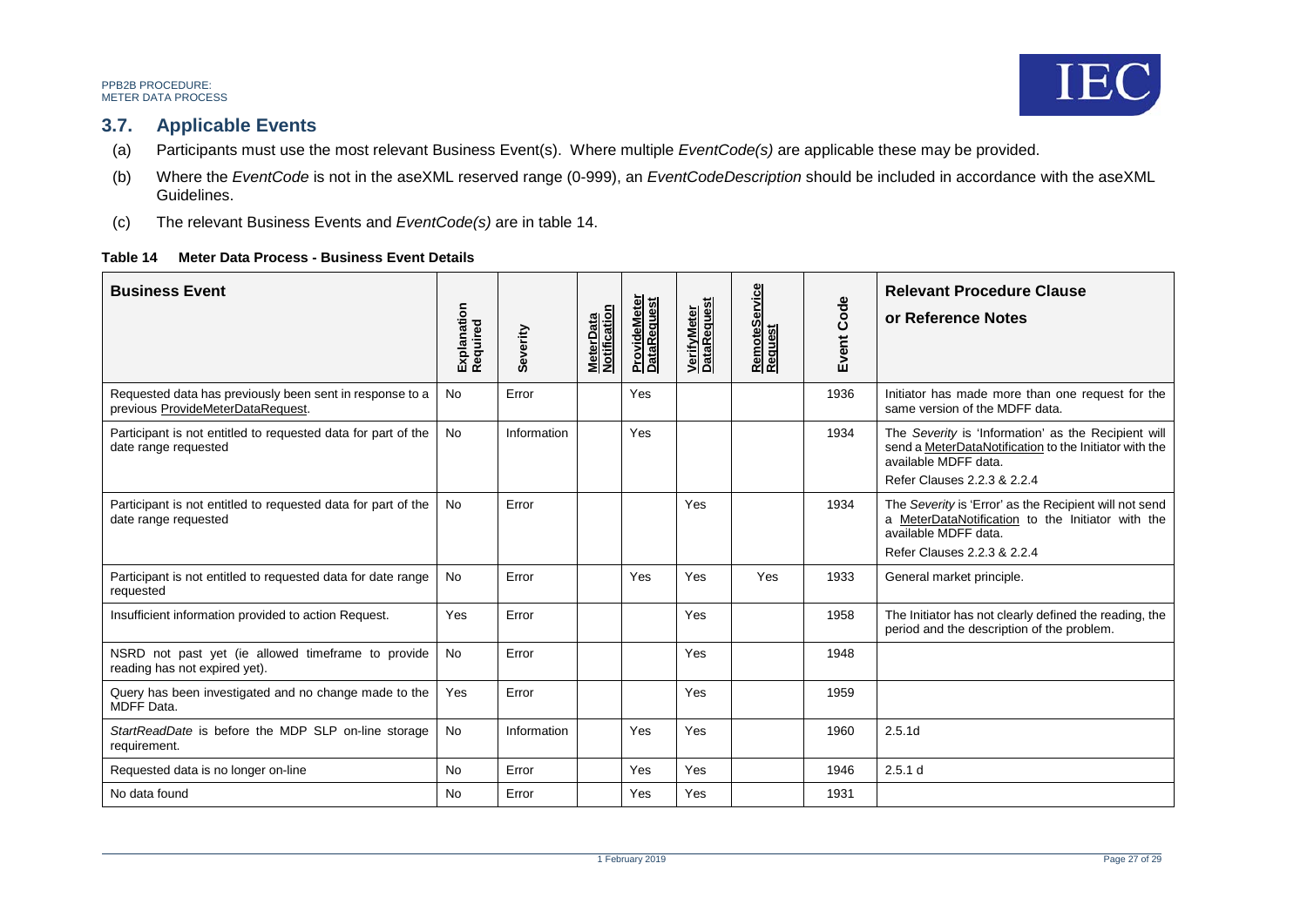

## **3.7. Applicable Events**

- (a) Participants must use the most relevant Business Event(s). Where multiple *EventCode(s)* are applicable these may be provided.
- (b) Where the *EventCode* is not in the aseXML reserved range (0-999), an *EventCodeDescription* should be included in accordance with the aseXML Guidelines.
- (c) The relevant Business Events and *EventCode(s)* are in table 14.

#### **Table 14 Meter Data Process - Business Event Details**

<span id="page-26-1"></span><span id="page-26-0"></span>

| <b>Business Event</b>                                                                         | Explanation<br>Required | Severity    | MeterData<br>Notification | ProvideMeter<br>DataRequest | VerifyMeter<br>DataRequest | RemoteService<br>Request | Event Code | <b>Relevant Procedure Clause</b><br>or Reference Notes                                                                                                               |
|-----------------------------------------------------------------------------------------------|-------------------------|-------------|---------------------------|-----------------------------|----------------------------|--------------------------|------------|----------------------------------------------------------------------------------------------------------------------------------------------------------------------|
| Requested data has previously been sent in response to a<br>previous ProvideMeterDataRequest. | No                      | Error       |                           | Yes                         |                            |                          | 1936       | Initiator has made more than one request for the<br>same version of the MDFF data.                                                                                   |
| Participant is not entitled to requested data for part of the<br>date range requested         | <b>No</b>               | Information |                           | Yes                         |                            |                          | 1934       | The Severity is 'Information' as the Recipient will<br>send a MeterDataNotification to the Initiator with the<br>available MDFF data.<br>Refer Clauses 2.2.3 & 2.2.4 |
| Participant is not entitled to requested data for part of the<br>date range requested         | <b>No</b>               | Error       |                           |                             | Yes                        |                          | 1934       | The Severity is 'Error' as the Recipient will not send<br>a MeterDataNotification to the Initiator with the<br>available MDFF data.<br>Refer Clauses 2.2.3 & 2.2.4   |
| Participant is not entitled to requested data for date range<br>requested                     | No                      | Error       |                           | Yes                         | Yes                        | Yes                      | 1933       | General market principle.                                                                                                                                            |
| Insufficient information provided to action Request.                                          | Yes                     | Error       |                           |                             | Yes                        |                          | 1958       | The Initiator has not clearly defined the reading, the<br>period and the description of the problem.                                                                 |
| NSRD not past yet (ie allowed timeframe to provide<br>reading has not expired yet).           | <b>No</b>               | Error       |                           |                             | Yes                        |                          | 1948       |                                                                                                                                                                      |
| Query has been investigated and no change made to the<br>MDFF Data.                           | Yes                     | Error       |                           |                             | Yes                        |                          | 1959       |                                                                                                                                                                      |
| StartReadDate is before the MDP SLP on-line storage<br>requirement.                           | <b>No</b>               | Information |                           | Yes                         | Yes                        |                          | 1960       | 2.5.1d                                                                                                                                                               |
| Requested data is no longer on-line                                                           | <b>No</b>               | Error       |                           | Yes                         | Yes                        |                          | 1946       | 2.5.1 d                                                                                                                                                              |
| No data found                                                                                 | <b>No</b>               | Error       |                           | Yes                         | Yes                        |                          | 1931       |                                                                                                                                                                      |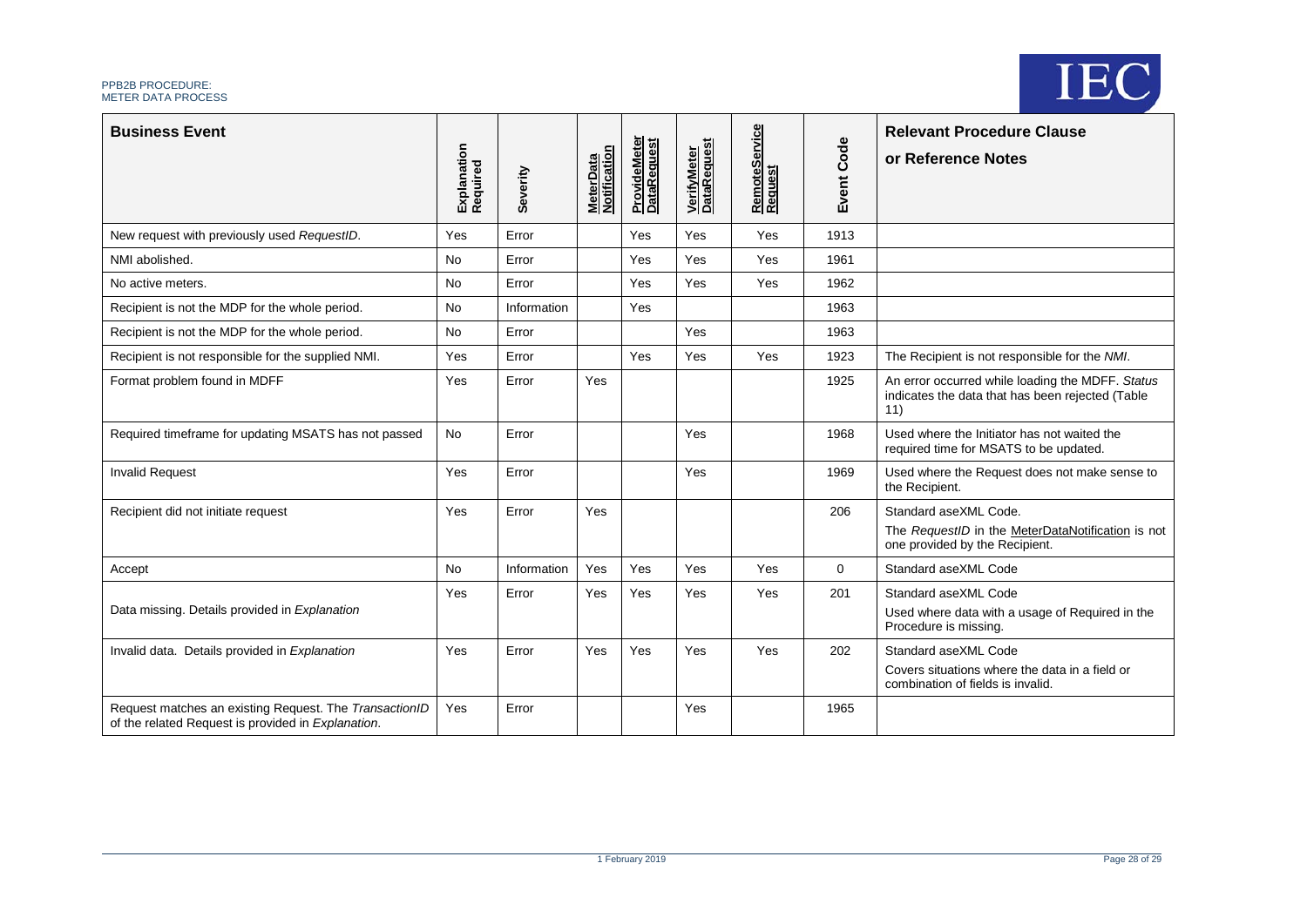#### PPB2B PROCEDURE: METER DATA PROCESS



| <b>Business Event</b>                                                                                        |           | Severity    | MeterData<br>Notification | <b>ProvideMeter</b><br>DataRequest | VerifyMeter<br>DataRequest | RemoteService<br>Request | Event Code | <b>Relevant Procedure Clause</b><br>or Reference Notes                                                       |
|--------------------------------------------------------------------------------------------------------------|-----------|-------------|---------------------------|------------------------------------|----------------------------|--------------------------|------------|--------------------------------------------------------------------------------------------------------------|
| New request with previously used RequestID.                                                                  | Yes       | Error       |                           | Yes                                | Yes                        | Yes                      | 1913       |                                                                                                              |
| NMI abolished.                                                                                               | <b>No</b> | Error       |                           | Yes                                | Yes                        | Yes                      | 1961       |                                                                                                              |
| No active meters.                                                                                            | <b>No</b> | Error       |                           | Yes                                | Yes                        | Yes                      | 1962       |                                                                                                              |
| Recipient is not the MDP for the whole period.                                                               | <b>No</b> | Information |                           | Yes                                |                            |                          | 1963       |                                                                                                              |
| Recipient is not the MDP for the whole period.                                                               | <b>No</b> | Error       |                           |                                    | Yes                        |                          | 1963       |                                                                                                              |
| Recipient is not responsible for the supplied NMI.                                                           | Yes       | Error       |                           | Yes                                | Yes                        | Yes                      | 1923       | The Recipient is not responsible for the NMI.                                                                |
| Format problem found in MDFF                                                                                 | Yes       | Error       | Yes                       |                                    |                            |                          | 1925       | An error occurred while loading the MDFF. Status<br>indicates the data that has been rejected (Table<br>11)  |
| Required timeframe for updating MSATS has not passed                                                         | <b>No</b> | Error       |                           |                                    | Yes                        |                          | 1968       | Used where the Initiator has not waited the<br>required time for MSATS to be updated.                        |
| <b>Invalid Request</b>                                                                                       | Yes       | Error       |                           |                                    | Yes                        |                          | 1969       | Used where the Request does not make sense to<br>the Recipient.                                              |
| Recipient did not initiate request                                                                           | Yes       | Error       | Yes                       |                                    |                            |                          | 206        | Standard aseXML Code.<br>The RequestID in the MeterDataNotification is not<br>one provided by the Recipient. |
| Accept                                                                                                       | <b>No</b> | Information | Yes                       | Yes                                | Yes                        | Yes                      | $\Omega$   | Standard aseXML Code                                                                                         |
| Data missing. Details provided in Explanation                                                                | Yes       | Error       | Yes                       | Yes                                | Yes                        | Yes                      | 201        | Standard aseXML Code<br>Used where data with a usage of Required in the<br>Procedure is missing.             |
| Invalid data. Details provided in Explanation                                                                | Yes       | Error       | Yes                       | Yes                                | Yes                        | Yes                      | 202        | Standard aseXML Code<br>Covers situations where the data in a field or<br>combination of fields is invalid.  |
| Request matches an existing Request. The TransactionID<br>of the related Request is provided in Explanation. | Yes       | Error       |                           |                                    | Yes                        |                          | 1965       |                                                                                                              |